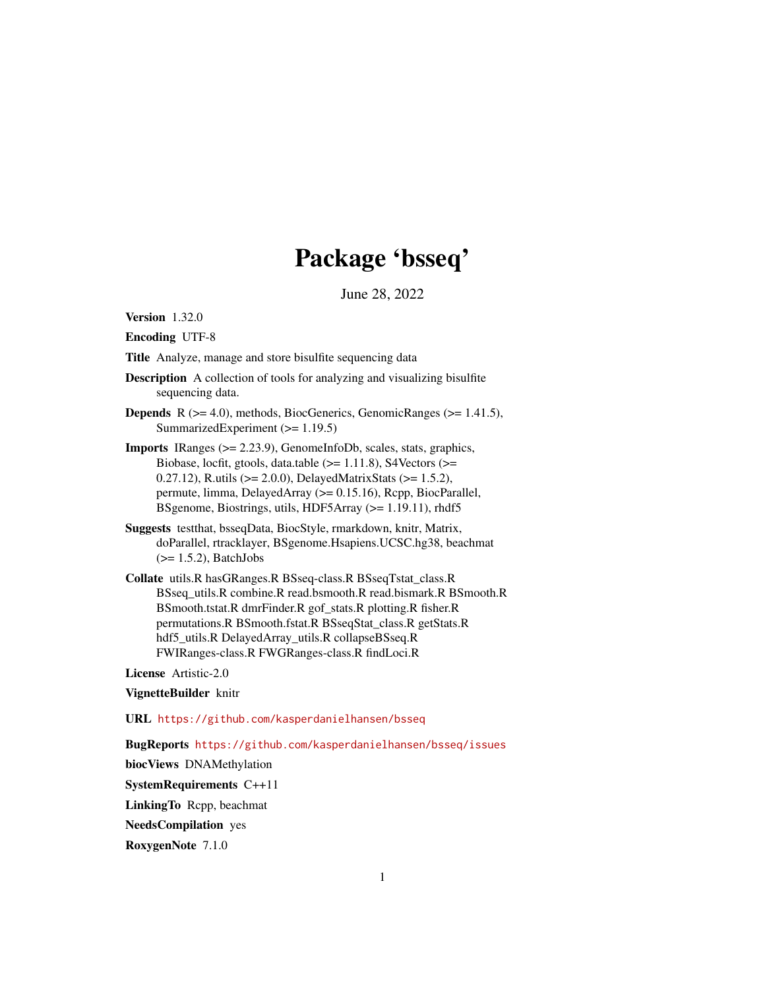# Package 'bsseq'

June 28, 2022

<span id="page-0-0"></span>Version 1.32.0

Encoding UTF-8

Title Analyze, manage and store bisulfite sequencing data

- Description A collection of tools for analyzing and visualizing bisulfite sequencing data.
- **Depends** R  $(>= 4.0)$ , methods, BiocGenerics, GenomicRanges  $(>= 1.41.5)$ , SummarizedExperiment (>= 1.19.5)
- Imports IRanges (>= 2.23.9), GenomeInfoDb, scales, stats, graphics, Biobase, locfit, gtools, data.table  $(>= 1.11.8)$ , S4Vectors  $(>=$ 0.27.12), R.utils (>= 2.0.0), DelayedMatrixStats (>= 1.5.2), permute, limma, DelayedArray (>= 0.15.16), Rcpp, BiocParallel, BSgenome, Biostrings, utils, HDF5Array (>= 1.19.11), rhdf5
- Suggests testthat, bsseqData, BiocStyle, rmarkdown, knitr, Matrix, doParallel, rtracklayer, BSgenome.Hsapiens.UCSC.hg38, beachmat  $(>= 1.5.2)$ , BatchJobs
- Collate utils.R hasGRanges.R BSseq-class.R BSseqTstat\_class.R BSseq\_utils.R combine.R read.bsmooth.R read.bismark.R BSmooth.R BSmooth.tstat.R dmrFinder.R gof\_stats.R plotting.R fisher.R permutations.R BSmooth.fstat.R BSseqStat\_class.R getStats.R hdf5\_utils.R DelayedArray\_utils.R collapseBSseq.R FWIRanges-class.R FWGRanges-class.R findLoci.R

License Artistic-2.0

# VignetteBuilder knitr

URL <https://github.com/kasperdanielhansen/bsseq>

BugReports <https://github.com/kasperdanielhansen/bsseq/issues>

biocViews DNAMethylation

SystemRequirements C++11

LinkingTo Rcpp, beachmat

NeedsCompilation yes

RoxygenNote 7.1.0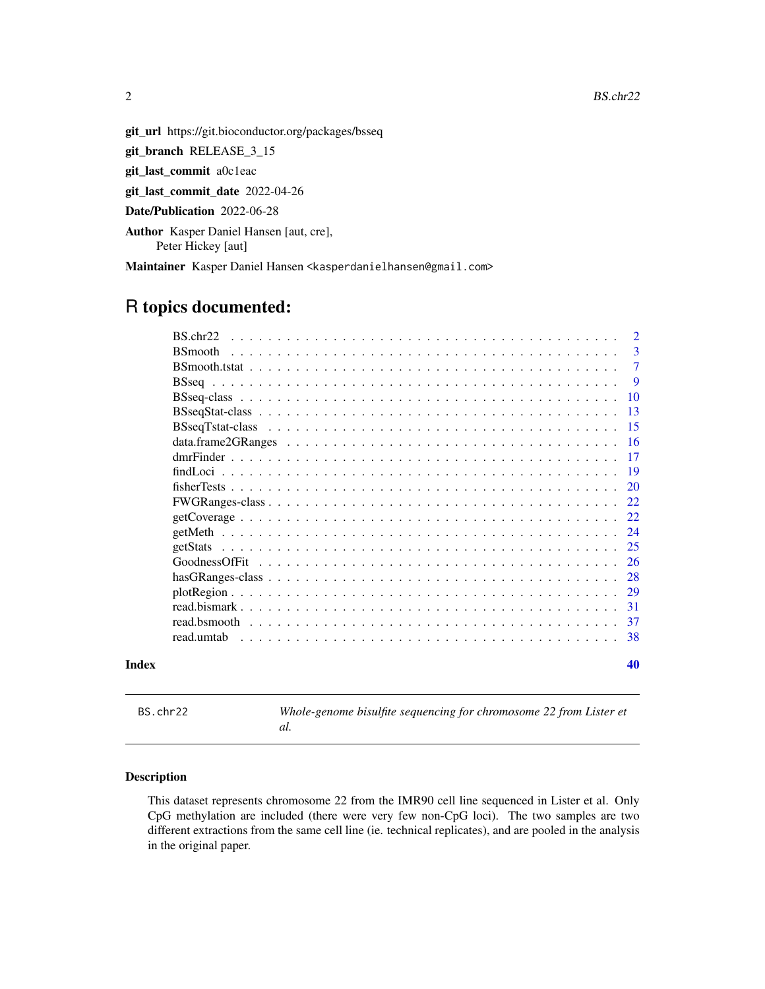2 BS.chr.22

<span id="page-1-0"></span>

git\_url https://git.bioconductor.org/packages/bsseq

git\_branch RELEASE\_3\_15

git\_last\_commit a0c1eac

git\_last\_commit\_date 2022-04-26

Date/Publication 2022-06-28

Author Kasper Daniel Hansen [aut, cre], Peter Hickey [aut]

Maintainer Kasper Daniel Hansen <kasperdanielhansen@gmail.com>

# R topics documented:

|       | BS.chr22                                                                                                           | $\overline{2}$ |
|-------|--------------------------------------------------------------------------------------------------------------------|----------------|
|       | <b>B</b> Smooth                                                                                                    | 3              |
|       |                                                                                                                    | 7              |
|       |                                                                                                                    | -9             |
|       |                                                                                                                    | 10             |
|       |                                                                                                                    | 13             |
|       |                                                                                                                    | -15            |
|       |                                                                                                                    | -16            |
|       |                                                                                                                    | -17            |
|       |                                                                                                                    | -19            |
|       |                                                                                                                    | 20             |
|       |                                                                                                                    | 22             |
|       |                                                                                                                    | 22             |
|       |                                                                                                                    | 24             |
|       |                                                                                                                    | 25             |
|       | GoodnessOfFit                                                                                                      | 26             |
|       |                                                                                                                    | 28             |
|       | $plotRegion \dots \dots \dots \dots \dots \dots \dots \dots \dots \dots \dots \dots \dots \dots \dots \dots \dots$ | 29             |
|       |                                                                                                                    | -31            |
|       |                                                                                                                    | 37             |
|       | read umtab                                                                                                         | 38             |
| Index |                                                                                                                    | 40             |

BS.chr22 *Whole-genome bisulfite sequencing for chromosome 22 from Lister et al.*

# Description

This dataset represents chromosome 22 from the IMR90 cell line sequenced in Lister et al. Only CpG methylation are included (there were very few non-CpG loci). The two samples are two different extractions from the same cell line (ie. technical replicates), and are pooled in the analysis in the original paper.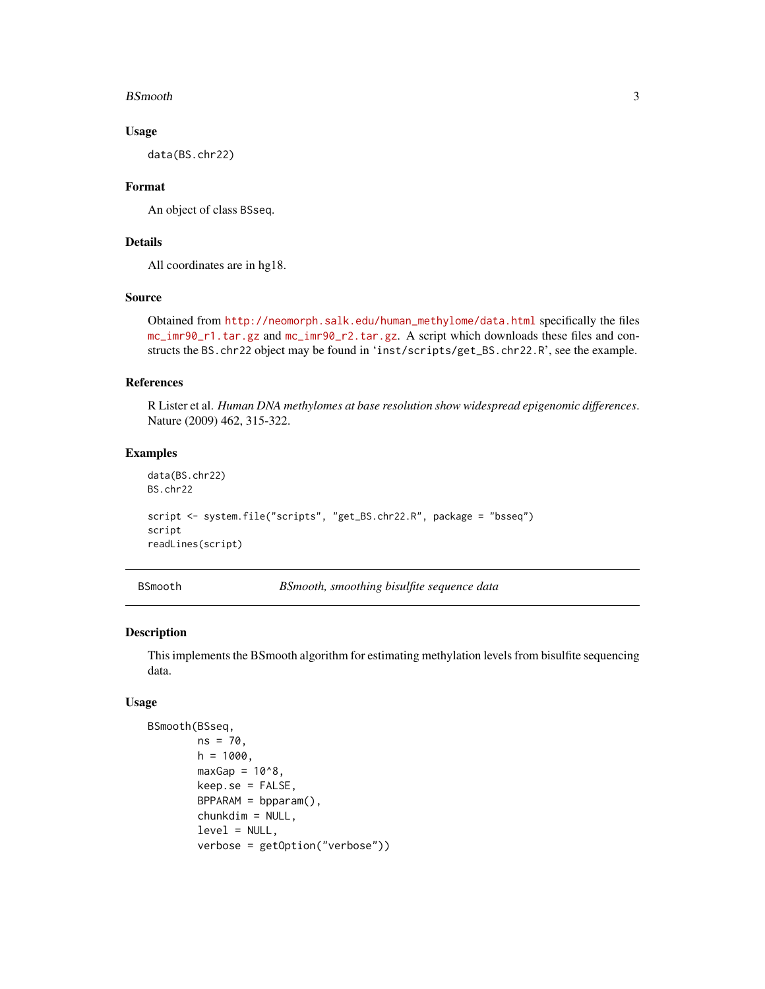#### <span id="page-2-0"></span>BSmooth 3

# Usage

data(BS.chr22)

# Format

An object of class BSseq.

# Details

All coordinates are in hg18.

# Source

Obtained from [http://neomorph.salk.edu/human\\_methylome/data.html](http://neomorph.salk.edu/human_methylome/data.html) specifically the files [mc\\_imr90\\_r1.tar.gz](mc_imr90_r1.tar.gz) and [mc\\_imr90\\_r2.tar.gz](mc_imr90_r2.tar.gz). A script which downloads these files and constructs the BS.chr22 object may be found in 'inst/scripts/get\_BS.chr22.R', see the example.

# References

R Lister et al. *Human DNA methylomes at base resolution show widespread epigenomic differences*. Nature (2009) 462, 315-322.

# Examples

```
data(BS.chr22)
BS.chr22
script <- system.file("scripts", "get_BS.chr22.R", package = "bsseq")
script
readLines(script)
```
<span id="page-2-1"></span>BSmooth *BSmooth, smoothing bisulfite sequence data*

# Description

This implements the BSmooth algorithm for estimating methylation levels from bisulfite sequencing data.

#### Usage

```
BSmooth(BSseq,
        ns = 70,
        h = 1000,maxGap = 10^8.
        keep.se = FALSE,
        BPPARAM = bpparam(),
        chunkdim = NULL,
        level = NULL,verbose = getOption("verbose"))
```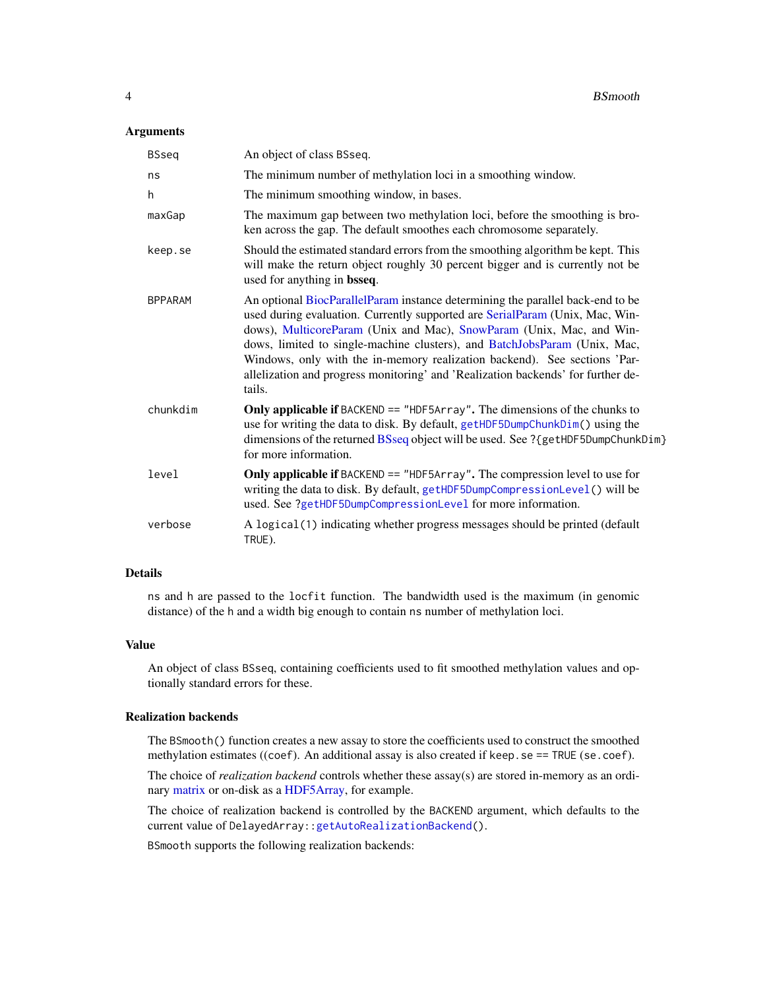# <span id="page-3-0"></span>**Arguments**

| <b>BSseq</b>   | An object of class BSseq.                                                                                                                                                                                                                                                                                                                                                                                                                                                                      |
|----------------|------------------------------------------------------------------------------------------------------------------------------------------------------------------------------------------------------------------------------------------------------------------------------------------------------------------------------------------------------------------------------------------------------------------------------------------------------------------------------------------------|
| ns             | The minimum number of methylation loci in a smoothing window.                                                                                                                                                                                                                                                                                                                                                                                                                                  |
| h              | The minimum smoothing window, in bases.                                                                                                                                                                                                                                                                                                                                                                                                                                                        |
| maxGap         | The maximum gap between two methylation loci, before the smoothing is bro-<br>ken across the gap. The default smoothes each chromosome separately.                                                                                                                                                                                                                                                                                                                                             |
| keep.se        | Should the estimated standard errors from the smoothing algorithm be kept. This<br>will make the return object roughly 30 percent bigger and is currently not be<br>used for anything in bsseq.                                                                                                                                                                                                                                                                                                |
| <b>BPPARAM</b> | An optional BiocParallelParam instance determining the parallel back-end to be<br>used during evaluation. Currently supported are SerialParam (Unix, Mac, Win-<br>dows), MulticoreParam (Unix and Mac), SnowParam (Unix, Mac, and Win-<br>dows, limited to single-machine clusters), and BatchJobsParam (Unix, Mac,<br>Windows, only with the in-memory realization backend). See sections 'Par-<br>allelization and progress monitoring' and 'Realization backends' for further de-<br>tails. |
| chunkdim       | <b>Only applicable if BACKEND == "HDF5Array". The dimensions of the chunks to</b><br>use for writing the data to disk. By default, getHDF5DumpChunkDim() using the<br>dimensions of the returned BSseq object will be used. See ? {getHDF5DumpChunkDim}<br>for more information.                                                                                                                                                                                                               |
| level          | <b>Only applicable if BACKEND == "HDF5Array". The compression level to use for</b><br>writing the data to disk. By default, getHDF5DumpCompressionLevel() will be<br>used. See ?getHDF5DumpCompressionLevel for more information.                                                                                                                                                                                                                                                              |
| verbose        | A logical (1) indicating whether progress messages should be printed (default<br>TRUE).                                                                                                                                                                                                                                                                                                                                                                                                        |

#### Details

ns and h are passed to the locfit function. The bandwidth used is the maximum (in genomic distance) of the h and a width big enough to contain ns number of methylation loci.

# Value

An object of class BSseq, containing coefficients used to fit smoothed methylation values and optionally standard errors for these.

# Realization backends

The BSmooth() function creates a new assay to store the coefficients used to construct the smoothed methylation estimates ((coef). An additional assay is also created if keep.se == TRUE (se.coef).

The choice of *realization backend* controls whether these assay(s) are stored in-memory as an ordinary [matrix](#page-0-0) or on-disk as a [HDF5Array,](#page-0-0) for example.

The choice of realization backend is controlled by the BACKEND argument, which defaults to the current value of DelayedArray:[:getAutoRealizationBackend\(](#page-0-0)).

BSmooth supports the following realization backends: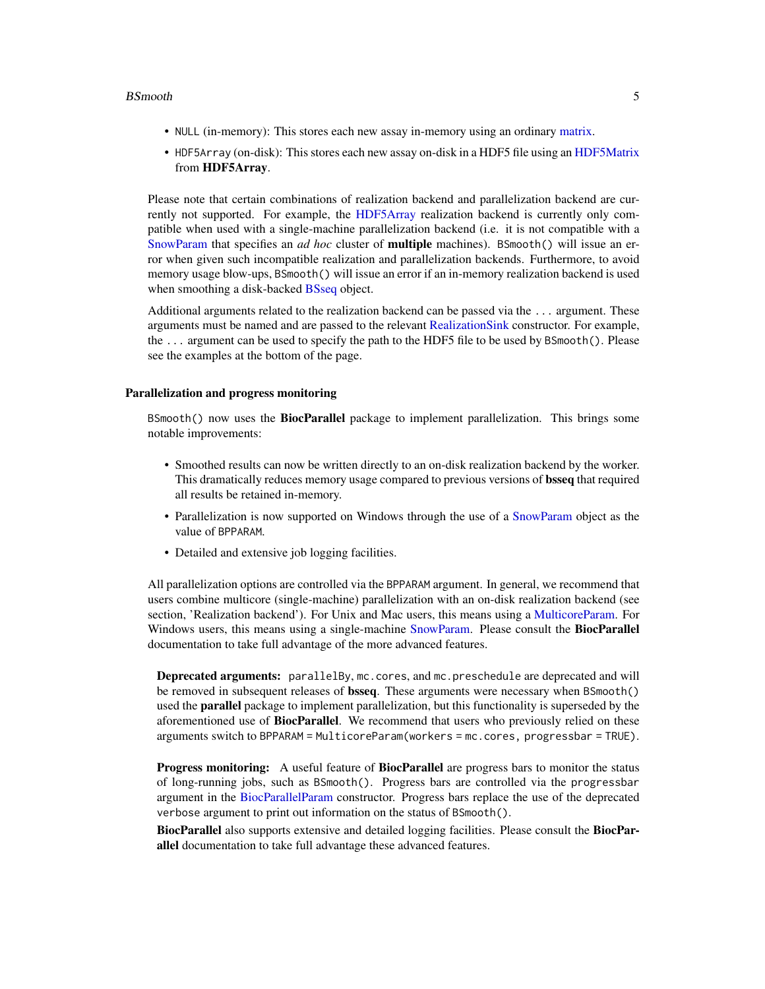#### <span id="page-4-0"></span>BSmooth 5

- NULL (in-memory): This stores each new assay in-memory using an ordinary [matrix.](#page-0-0)
- HDF5Array (on-disk): This stores each new assay on-disk in a HDF5 file using an [HDF5Matrix](#page-0-0) from HDF5Array.

Please note that certain combinations of realization backend and parallelization backend are currently not supported. For example, the [HDF5Array](#page-0-0) realization backend is currently only compatible when used with a single-machine parallelization backend (i.e. it is not compatible with a [SnowParam](#page-0-0) that specifies an *ad hoc* cluster of multiple machines). BSmooth() will issue an error when given such incompatible realization and parallelization backends. Furthermore, to avoid memory usage blow-ups, BSmooth() will issue an error if an in-memory realization backend is used when smoothing a disk-backed **[BSseq](#page-9-1)** object.

Additional arguments related to the realization backend can be passed via the ... argument. These arguments must be named and are passed to the relevant [RealizationSink](#page-0-0) constructor. For example, the ... argument can be used to specify the path to the HDF5 file to be used by BSmooth(). Please see the examples at the bottom of the page.

# Parallelization and progress monitoring

BSmooth() now uses the **BiocParallel** package to implement parallelization. This brings some notable improvements:

- Smoothed results can now be written directly to an on-disk realization backend by the worker. This dramatically reduces memory usage compared to previous versions of **bsseq** that required all results be retained in-memory.
- Parallelization is now supported on Windows through the use of a [SnowParam](#page-0-0) object as the value of BPPARAM.
- Detailed and extensive job logging facilities.

All parallelization options are controlled via the BPPARAM argument. In general, we recommend that users combine multicore (single-machine) parallelization with an on-disk realization backend (see section, 'Realization backend'). For Unix and Mac users, this means using a [MulticoreParam.](#page-0-0) For Windows users, this means using a single-machine [SnowParam.](#page-0-0) Please consult the **BiocParallel** documentation to take full advantage of the more advanced features.

Deprecated arguments: parallelBy, mc.cores, and mc.preschedule are deprecated and will be removed in subsequent releases of bsseq. These arguments were necessary when BSmooth() used the parallel package to implement parallelization, but this functionality is superseded by the aforementioned use of BiocParallel. We recommend that users who previously relied on these arguments switch to BPPARAM = MulticoreParam(workers = mc.cores, progressbar = TRUE).

Progress monitoring: A useful feature of BiocParallel are progress bars to monitor the status of long-running jobs, such as BSmooth(). Progress bars are controlled via the progressbar argument in the [BiocParallelParam](#page-0-0) constructor. Progress bars replace the use of the deprecated verbose argument to print out information on the status of BSmooth().

BiocParallel also supports extensive and detailed logging facilities. Please consult the BiocParallel documentation to take full advantage these advanced features.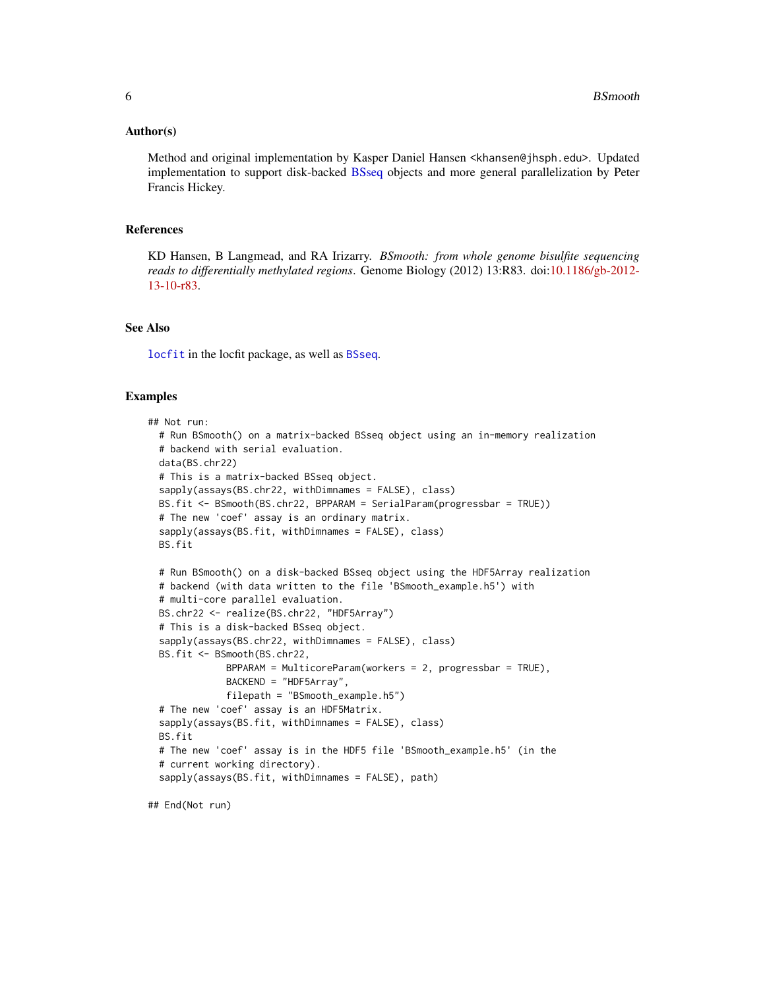#### <span id="page-5-0"></span>Author(s)

Method and original implementation by Kasper Daniel Hansen <khansen@jhsph.edu>. Updated implementation to support disk-backed [BSseq](#page-9-1) objects and more general parallelization by Peter Francis Hickey.

# References

KD Hansen, B Langmead, and RA Irizarry. *BSmooth: from whole genome bisulfite sequencing reads to differentially methylated regions*. Genome Biology (2012) 13:R83. doi[:10.1186/gb-2012-](http://www.dx.doi.org/10.1186/gb-2012-13-10-r83) [13-10-r83.](http://www.dx.doi.org/10.1186/gb-2012-13-10-r83)

# See Also

[locfit](#page-0-0) in the locfit package, as well as [BSseq](#page-9-1).

# Examples

```
## Not run:
 # Run BSmooth() on a matrix-backed BSseq object using an in-memory realization
 # backend with serial evaluation.
 data(BS.chr22)
 # This is a matrix-backed BSseq object.
 sapply(assays(BS.chr22, withDimnames = FALSE), class)
 BS.fit <- BSmooth(BS.chr22, BPPARAM = SerialParam(progressbar = TRUE))
 # The new 'coef' assay is an ordinary matrix.
 sapply(assays(BS.fit, withDimnames = FALSE), class)
 BS.fit
 # Run BSmooth() on a disk-backed BSseq object using the HDF5Array realization
 # backend (with data written to the file 'BSmooth_example.h5') with
 # multi-core parallel evaluation.
 BS.chr22 <- realize(BS.chr22, "HDF5Array")
 # This is a disk-backed BSseq object.
 sapply(assays(BS.chr22, withDimnames = FALSE), class)
 BS.fit <- BSmooth(BS.chr22,
             BPPARAM = MulticoreParam(workers = 2, progressbar = TRUE),
             BACKEND = "HDF5Array",
              filepath = "BSmooth_example.h5")
 # The new 'coef' assay is an HDF5Matrix.
 sapply(assays(BS.fit, withDimnames = FALSE), class)
 BS.fit
 # The new 'coef' assay is in the HDF5 file 'BSmooth_example.h5' (in the
 # current working directory).
  sapply(assays(BS.fit, withDimnames = FALSE), path)
```
## End(Not run)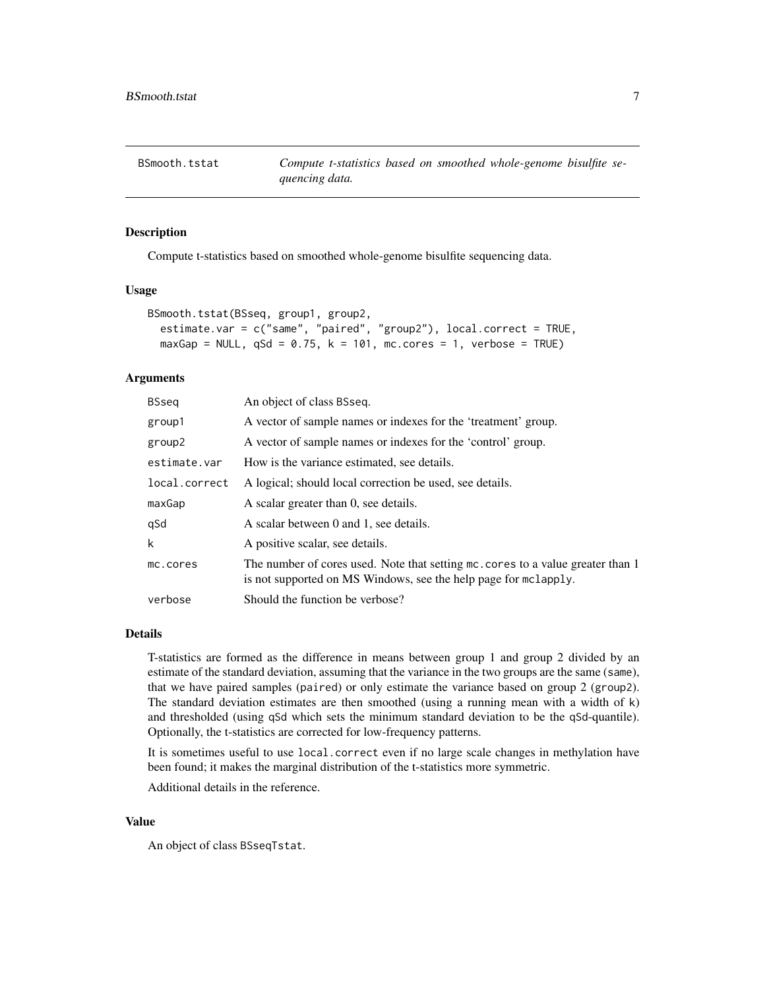<span id="page-6-1"></span><span id="page-6-0"></span>

# Description

Compute t-statistics based on smoothed whole-genome bisulfite sequencing data.

### Usage

```
BSmooth.tstat(BSseq, group1, group2,
  estimate.var = c("same", "paired", "group2"), local.correct = TRUE,
  maxGap = NULL, qSd = 0.75, k = 101, mc.cores = 1, verbose = TRUE)
```
# Arguments

| BSseg         | An object of class BSseq.                                                                                                                          |
|---------------|----------------------------------------------------------------------------------------------------------------------------------------------------|
| group1        | A vector of sample names or indexes for the 'treatment' group.                                                                                     |
| group2        | A vector of sample names or indexes for the 'control' group.                                                                                       |
| estimate.var  | How is the variance estimated, see details.                                                                                                        |
| local.correct | A logical; should local correction be used, see details.                                                                                           |
| maxGap        | A scalar greater than 0, see details.                                                                                                              |
| qSd           | A scalar between 0 and 1, see details.                                                                                                             |
| k             | A positive scalar, see details.                                                                                                                    |
| mc.cores      | The number of cores used. Note that setting mc. cores to a value greater than 1<br>is not supported on MS Windows, see the help page for mclapply. |
| verbose       | Should the function be verbose?                                                                                                                    |

# Details

T-statistics are formed as the difference in means between group 1 and group 2 divided by an estimate of the standard deviation, assuming that the variance in the two groups are the same (same), that we have paired samples (paired) or only estimate the variance based on group 2 (group2). The standard deviation estimates are then smoothed (using a running mean with a width of k) and thresholded (using qSd which sets the minimum standard deviation to be the qSd-quantile). Optionally, the t-statistics are corrected for low-frequency patterns.

It is sometimes useful to use local.correct even if no large scale changes in methylation have been found; it makes the marginal distribution of the t-statistics more symmetric.

Additional details in the reference.

#### Value

An object of class BSseqTstat.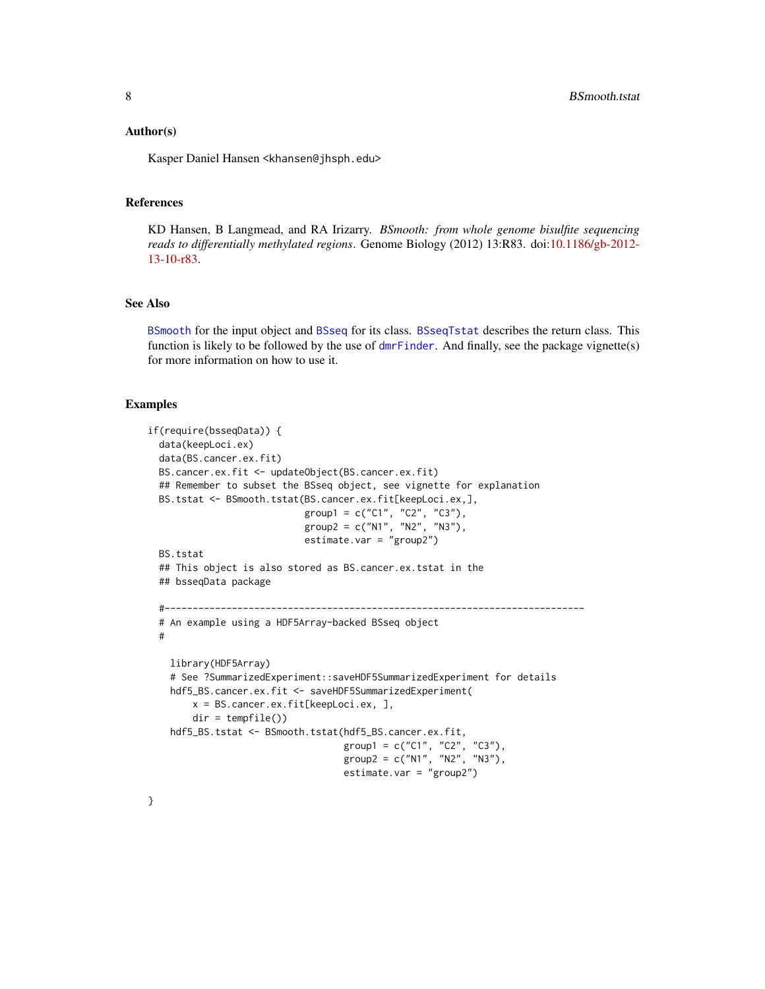#### <span id="page-7-0"></span>Author(s)

Kasper Daniel Hansen <khansen@jhsph.edu>

#### References

KD Hansen, B Langmead, and RA Irizarry. *BSmooth: from whole genome bisulfite sequencing reads to differentially methylated regions*. Genome Biology (2012) 13:R83. doi[:10.1186/gb-2012-](http://www.dx.doi.org/10.1186/gb-2012-13-10-r83) [13-10-r83.](http://www.dx.doi.org/10.1186/gb-2012-13-10-r83)

# See Also

[BSmooth](#page-2-1) for the input object and [BSseq](#page-9-1) for its class. [BSseqTstat](#page-14-1) describes the return class. This function is likely to be followed by the use of  $dmr$  Finder. And finally, see the package vignette(s) for more information on how to use it.

# Examples

```
if(require(bsseqData)) {
 data(keepLoci.ex)
 data(BS.cancer.ex.fit)
 BS.cancer.ex.fit <- updateObject(BS.cancer.ex.fit)
 ## Remember to subset the BSseq object, see vignette for explanation
 BS.tstat <- BSmooth.tstat(BS.cancer.ex.fit[keepLoci.ex,],
                            group1 = c("C1", "C2", "C3"),
                            group2 = c("N1", "N2", "N3"),
                            estimate.var = "group2")
 BS.tstat
 ## This object is also stored as BS.cancer.ex.tstat in the
 ## bsseqData package
 #---------------------------------------------------------------------------
 # An example using a HDF5Array-backed BSseq object
 #
   library(HDF5Array)
   # See ?SummarizedExperiment::saveHDF5SummarizedExperiment for details
   hdf5_BS.cancer.ex.fit <- saveHDF5SummarizedExperiment(
       x = BS.cancer.ex.fit[keepLoci.ex, ],
       dir = tempfile()hdf5_BS.tstat <- BSmooth.tstat(hdf5_BS.cancer.ex.fit,
                                   group1 = c("C1", "C2", "C3"),
                                   group2 = c("N1", "N2", "N3"),
                                   estimate.var = "group2")
```
}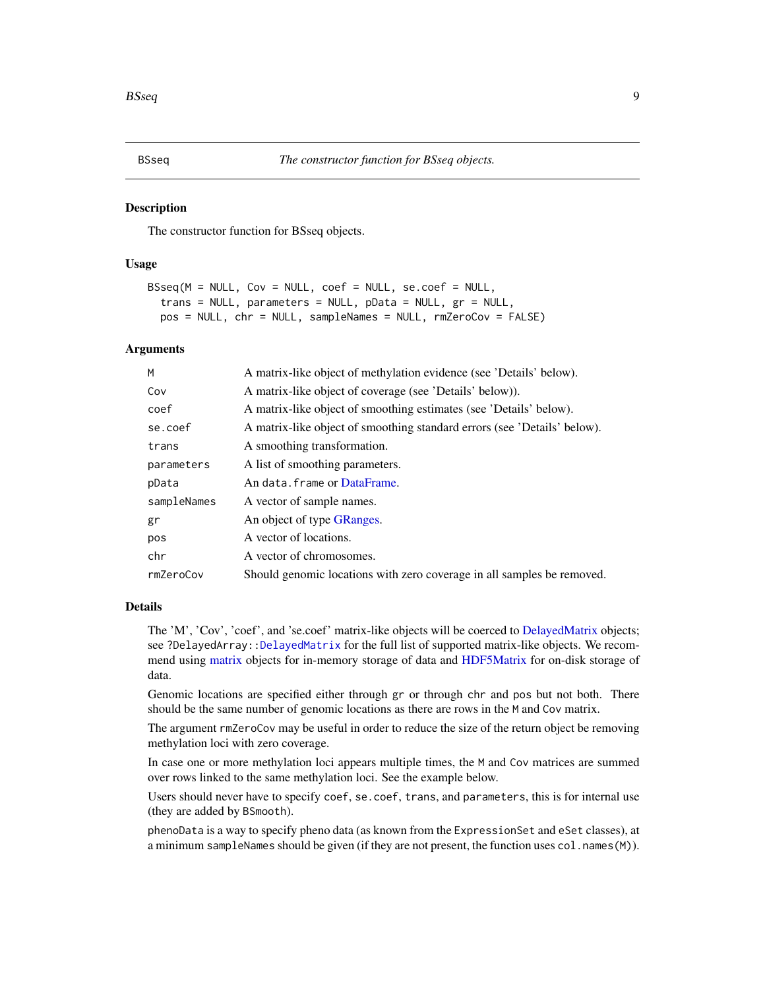#### <span id="page-8-1"></span><span id="page-8-0"></span>**Description**

The constructor function for BSseq objects.

# Usage

```
BSseq(M = NULL, Cov = NULL, coef = NULL, se.coef = NULL,
  trans = NULL, parameters = NULL, pData = NULL, gr = NULL,
 pos = NULL, chr = NULL, sampleNames = NULL, rmZeroCov = FALSE)
```
#### Arguments

| M           | A matrix-like object of methylation evidence (see 'Details' below).      |
|-------------|--------------------------------------------------------------------------|
| Cov         | A matrix-like object of coverage (see 'Details' below)).                 |
| coef        | A matrix-like object of smoothing estimates (see 'Details' below).       |
| se.coef     | A matrix-like object of smoothing standard errors (see 'Details' below). |
| trans       | A smoothing transformation.                                              |
| parameters  | A list of smoothing parameters.                                          |
| pData       | An data. frame or DataFrame.                                             |
| sampleNames | A vector of sample names.                                                |
| gr          | An object of type GRanges.                                               |
| pos         | A vector of locations.                                                   |
| chr         | A vector of chromosomes.                                                 |
| rmZeroCov   | Should genomic locations with zero coverage in all samples be removed.   |

# Details

The 'M', 'Cov', 'coef', and 'se.coef' matrix-like objects will be coerced to [DelayedMatrix](#page-0-0) objects; see ?DelayedArray: [:DelayedMatrix](#page-0-0) for the full list of supported matrix-like objects. We recommend using [matrix](#page-0-0) objects for in-memory storage of data and [HDF5Matrix](#page-0-0) for on-disk storage of data.

Genomic locations are specified either through gr or through chr and pos but not both. There should be the same number of genomic locations as there are rows in the M and Cov matrix.

The argument rmZeroCov may be useful in order to reduce the size of the return object be removing methylation loci with zero coverage.

In case one or more methylation loci appears multiple times, the M and Cov matrices are summed over rows linked to the same methylation loci. See the example below.

Users should never have to specify coef, se.coef, trans, and parameters, this is for internal use (they are added by BSmooth).

phenoData is a way to specify pheno data (as known from the ExpressionSet and eSet classes), at a minimum sampleNames should be given (if they are not present, the function uses col.names(M)).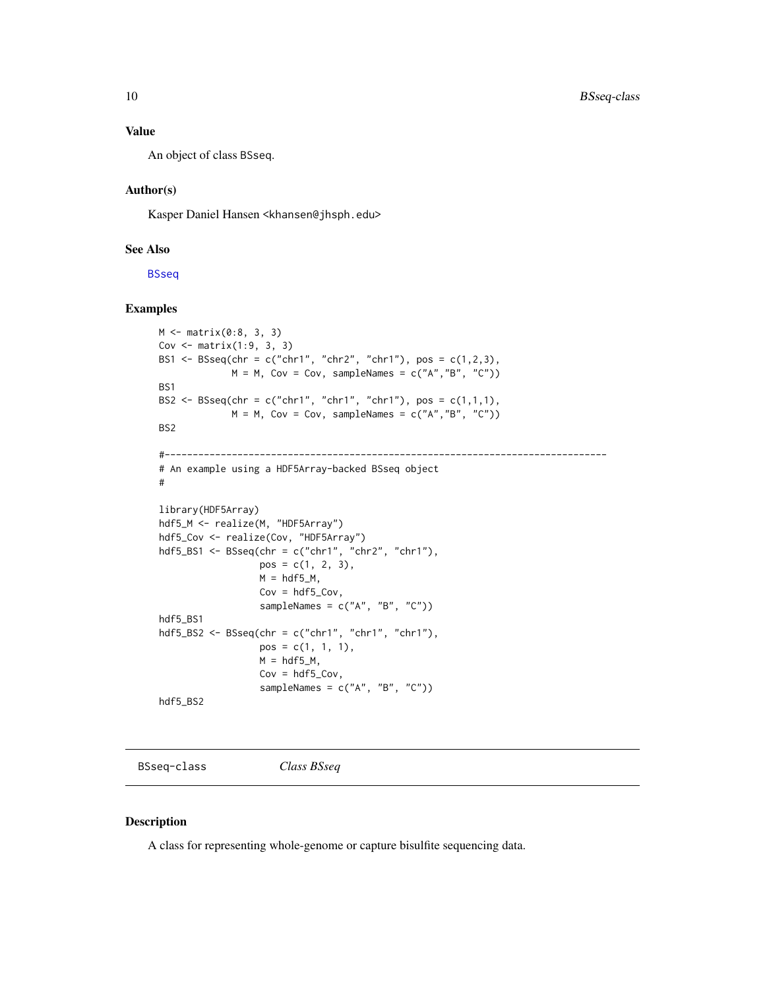# <span id="page-9-0"></span>Value

An object of class BSseq.

# Author(s)

Kasper Daniel Hansen <khansen@jhsph.edu>

#### See Also

**[BSseq](#page-9-1)** 

# Examples

```
M <- matrix(0:8, 3, 3)
Cov \leq matrix(1:9, 3, 3)
BS1 <- BSseq(chr = c("chr1", "chr2", "chr1"), pos = c(1,2,3),
             M = M, Cov = Cov, sampleNames = c("A","B", "C"))
BS1
BS2 <- BSseq(chr = c("chr1", "chr1", "chr1"), pos = c(1,1,1),
             M = M, Cov = Cov, sampleNames = c("A","B", "C"))
BS2
#-------------------------------------------------------------------------------
# An example using a HDF5Array-backed BSseq object
#
library(HDF5Array)
hdf5_M <- realize(M, "HDF5Array")
hdf5_Cov <- realize(Cov, "HDF5Array")
hdf5_BS1 <- BSseq(chr = c("chr1", "chr2", "chr1"),
                  pos = c(1, 2, 3),M = hdf5_M,
                  Cov = hdf5_Cov,sampleNames = c("A", "B", "C")hdf5_BS1
hdf5_BS2 <- BSseq(chr = c("chr1", "chr1", "chr1"),
                  pos = c(1, 1, 1),M = hdf5_M,
                  Cov = hdf5_Cov,sampleNames = c("A", "B", "C")hdf5_BS2
```
<span id="page-9-1"></span>BSseq-class *Class BSseq*

#### <span id="page-9-2"></span>Description

A class for representing whole-genome or capture bisulfite sequencing data.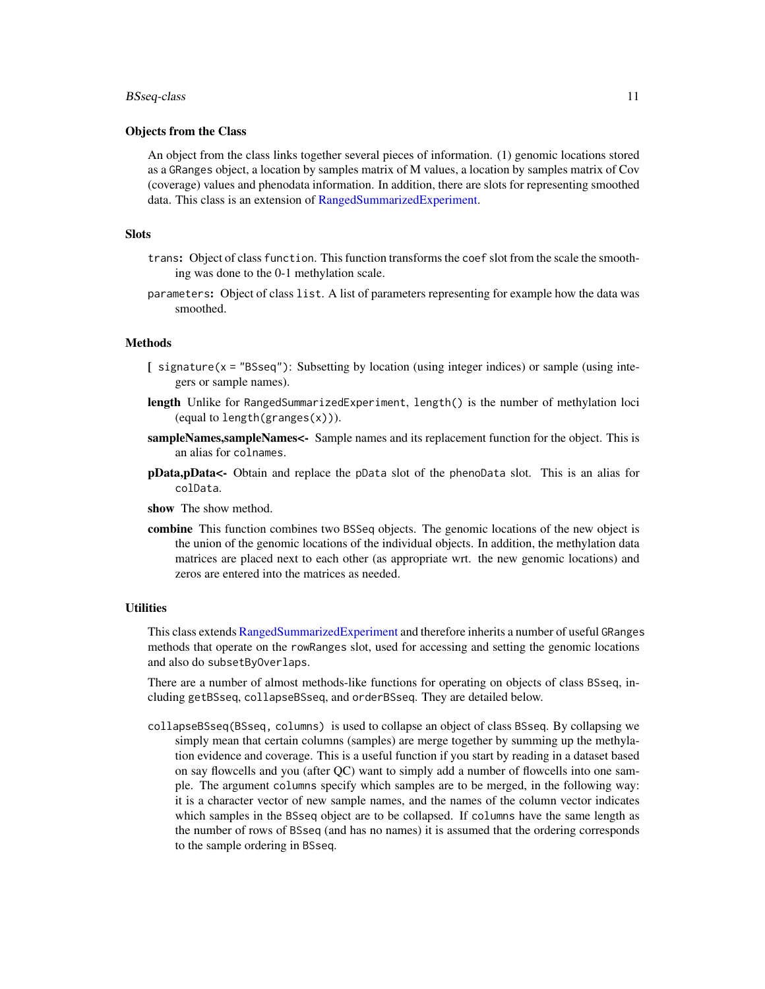# <span id="page-10-0"></span>BSseq-class 11

# Objects from the Class

An object from the class links together several pieces of information. (1) genomic locations stored as a GRanges object, a location by samples matrix of M values, a location by samples matrix of Cov (coverage) values and phenodata information. In addition, there are slots for representing smoothed data. This class is an extension of [RangedSummarizedExperiment.](#page-0-0)

# **Slots**

- trans: Object of class function. This function transforms the coef slot from the scale the smoothing was done to the 0-1 methylation scale.
- parameters: Object of class list. A list of parameters representing for example how the data was smoothed.

# Methods

- [ signature(x = "BSseq"): Subsetting by location (using integer indices) or sample (using integers or sample names).
- length Unlike for RangedSummarizedExperiment, length() is the number of methylation loci (equal to length(granges(x))).
- sampleNames, sampleNames<- Sample names and its replacement function for the object. This is an alias for colnames.
- pData,pData<- Obtain and replace the pData slot of the phenoData slot. This is an alias for colData.
- show The show method.
- combine This function combines two BSSeq objects. The genomic locations of the new object is the union of the genomic locations of the individual objects. In addition, the methylation data matrices are placed next to each other (as appropriate wrt. the new genomic locations) and zeros are entered into the matrices as needed.

#### **Utilities**

This class extends [RangedSummarizedExperiment](#page-0-0) and therefore inherits a number of useful GRanges methods that operate on the rowRanges slot, used for accessing and setting the genomic locations and also do subsetByOverlaps.

There are a number of almost methods-like functions for operating on objects of class BSseq, including getBSseq, collapseBSseq, and orderBSseq. They are detailed below.

collapseBSseq(BSseq, columns) is used to collapse an object of class BSseq. By collapsing we simply mean that certain columns (samples) are merge together by summing up the methylation evidence and coverage. This is a useful function if you start by reading in a dataset based on say flowcells and you (after QC) want to simply add a number of flowcells into one sample. The argument columns specify which samples are to be merged, in the following way: it is a character vector of new sample names, and the names of the column vector indicates which samples in the BSseq object are to be collapsed. If columns have the same length as the number of rows of BSseq (and has no names) it is assumed that the ordering corresponds to the sample ordering in BSseq.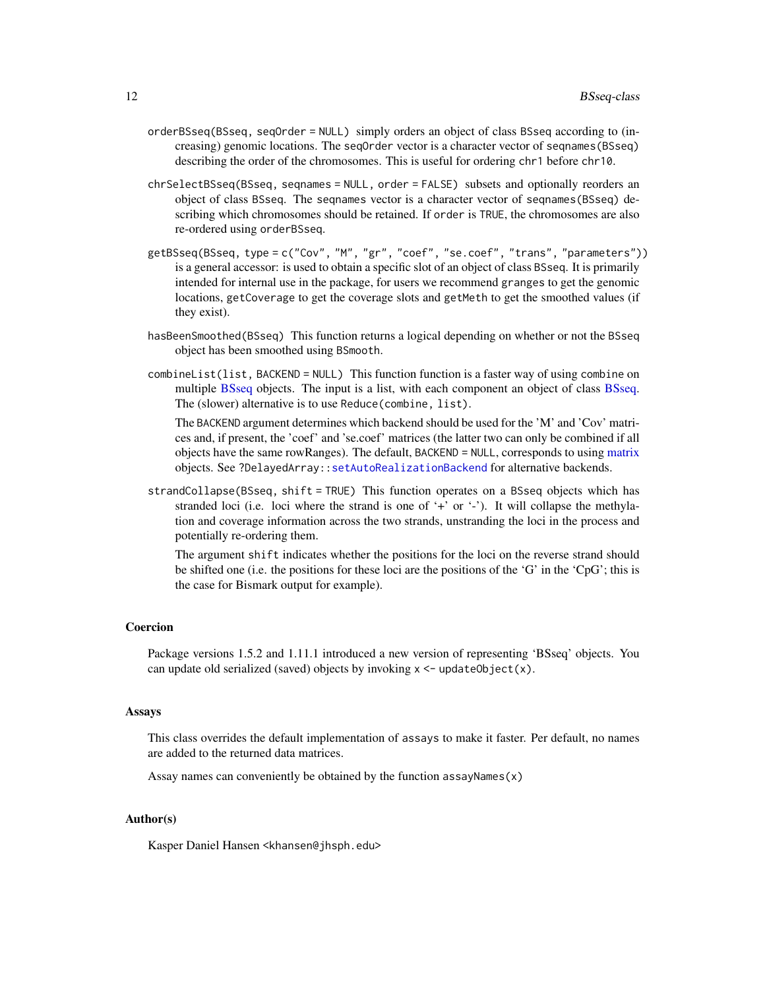- <span id="page-11-0"></span>orderBSseq(BSseq, seqOrder = NULL) simply orders an object of class BSseq according to (increasing) genomic locations. The seqOrder vector is a character vector of seqnames(BSseq) describing the order of the chromosomes. This is useful for ordering chr1 before chr10.
- chrSelectBSseq(BSseq, seqnames = NULL, order = FALSE) subsets and optionally reorders an object of class BSseq. The seqnames vector is a character vector of seqnames(BSseq) describing which chromosomes should be retained. If order is TRUE, the chromosomes are also re-ordered using orderBSseq.
- getBSseq(BSseq, type = c("Cov", "M", "gr", "coef", "se.coef", "trans", "parameters")) is a general accessor: is used to obtain a specific slot of an object of class BSseq. It is primarily intended for internal use in the package, for users we recommend granges to get the genomic locations, getCoverage to get the coverage slots and getMeth to get the smoothed values (if they exist).
- hasBeenSmoothed(BSseq) This function returns a logical depending on whether or not the BSseq object has been smoothed using BSmooth.
- combineList(list, BACKEND = NULL) This function function is a faster way of using combine on multiple [BSseq](#page-9-1) objects. The input is a list, with each component an object of class [BSseq.](#page-9-1) The (slower) alternative is to use Reduce(combine, list).

The BACKEND argument determines which backend should be used for the 'M' and 'Cov' matrices and, if present, the 'coef' and 'se.coef' matrices (the latter two can only be combined if all objects have the same rowRanges). The default, BACKEND = NULL, corresponds to using [matrix](#page-0-0) objects. See ?DelayedArray:[:setAutoRealizationBackend](#page-0-0) for alternative backends.

strandCollapse(BSseq, shift = TRUE) This function operates on a BSseq objects which has stranded loci (i.e. loci where the strand is one of '+' or '-'). It will collapse the methylation and coverage information across the two strands, unstranding the loci in the process and potentially re-ordering them.

The argument shift indicates whether the positions for the loci on the reverse strand should be shifted one (i.e. the positions for these loci are the positions of the 'G' in the 'CpG'; this is the case for Bismark output for example).

# Coercion

Package versions 1.5.2 and 1.11.1 introduced a new version of representing 'BSseq' objects. You can update old serialized (saved) objects by invoking  $x \leq$ -updateObject(x).

#### Assays

This class overrides the default implementation of assays to make it faster. Per default, no names are added to the returned data matrices.

Assay names can conveniently be obtained by the function  $assayNames(x)$ 

# Author(s)

Kasper Daniel Hansen <khansen@jhsph.edu>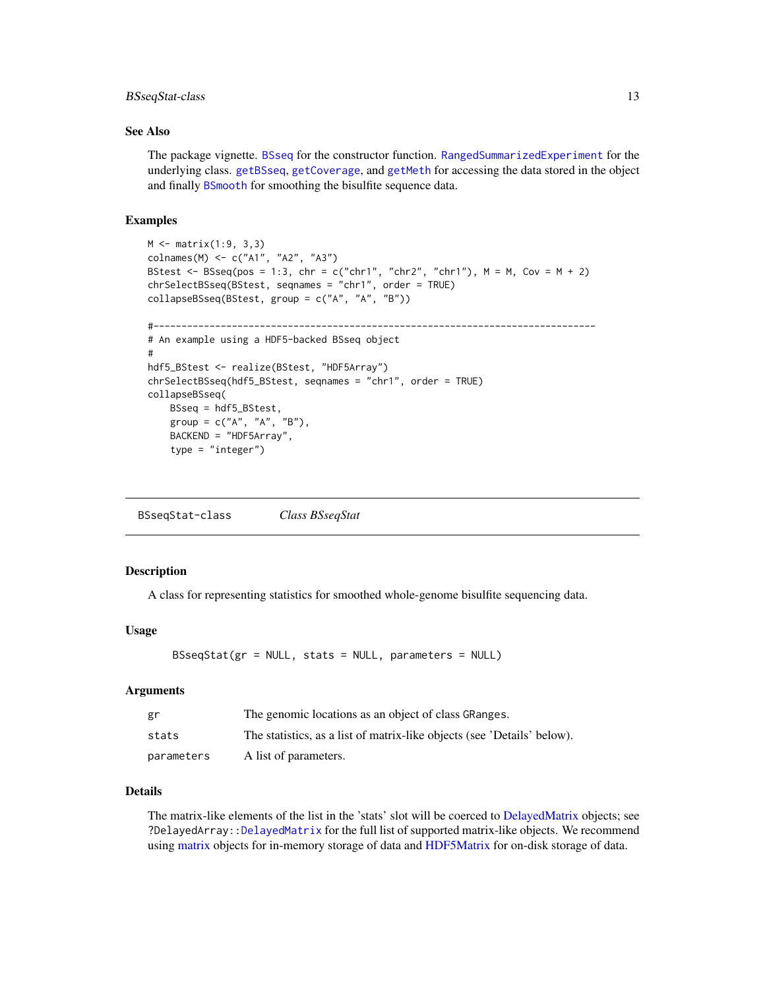# <span id="page-12-0"></span>BSseqStat-class 13

# See Also

The package vignette. [BSseq](#page-8-1) for the constructor function. [RangedSummarizedExperiment](#page-0-0) for the underlying class. [getBSseq](#page-9-2), [getCoverage](#page-21-1), and [getMeth](#page-23-1) for accessing the data stored in the object and finally [BSmooth](#page-2-1) for smoothing the bisulfite sequence data.

# Examples

```
M < - matrix(1:9, 3,3)
colnames(M) <- c("A1", "A2", "A3")
BStest <- BSseq(pos = 1:3, chr = c("chr1", "chr2", "chr1"), M = M, Cov = M + 2)
chrSelectBSseq(BStest, seqnames = "chr1", order = TRUE)
collapseBSseq(BStest, group = c("A", "A", "B"))
#-------------------------------------------------------------------------------
# An example using a HDF5-backed BSseq object
#
hdf5_BStest <- realize(BStest, "HDF5Array")
chrSelectBSseq(hdf5_BStest, seqnames = "chr1", order = TRUE)
collapseBSseq(
   BSseq = hdf5_BStest,
    group = c("A", "A", "B"),
    BACKEND = "HDF5Array",
    type = "integer")
```
BSseqStat-class *Class BSseqStat*

# Description

A class for representing statistics for smoothed whole-genome bisulfite sequencing data.

#### Usage

```
BSseqStat(gr = NULL, stats = NULL, parameters = NULL)
```
# Arguments

| gr         | The genomic locations as an object of class GRanges.                    |
|------------|-------------------------------------------------------------------------|
| stats      | The statistics, as a list of matrix-like objects (see 'Details' below). |
| parameters | A list of parameters.                                                   |

#### Details

The matrix-like elements of the list in the 'stats' slot will be coerced to [DelayedMatrix](#page-0-0) objects; see ?DelayedArray:[:DelayedMatrix](#page-0-0) for the full list of supported matrix-like objects. We recommend using [matrix](#page-0-0) objects for in-memory storage of data and [HDF5Matrix](#page-0-0) for on-disk storage of data.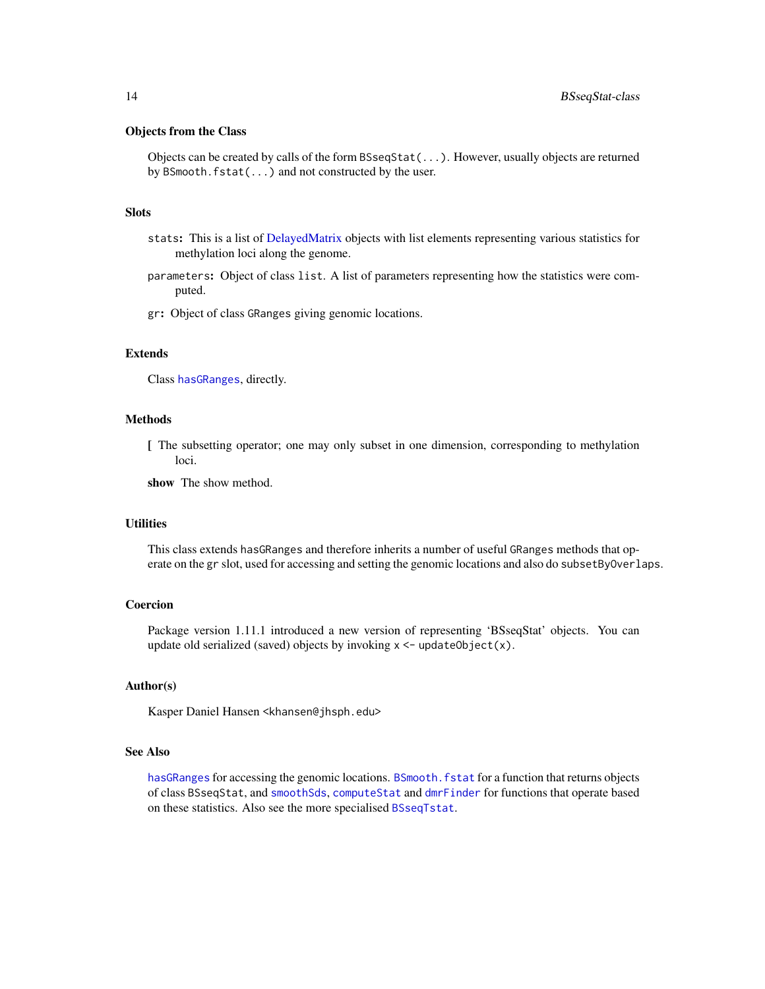# <span id="page-13-0"></span>Objects from the Class

Objects can be created by calls of the form BSseqStat(...). However, usually objects are returned by BSmooth.fstat(...) and not constructed by the user.

# **Slots**

- stats: This is a list of [DelayedMatrix](#page-0-0) objects with list elements representing various statistics for methylation loci along the genome.
- parameters: Object of class list. A list of parameters representing how the statistics were computed.
- gr: Object of class GRanges giving genomic locations.

# Extends

Class [hasGRanges](#page-27-1), directly.

# Methods

[ The subsetting operator; one may only subset in one dimension, corresponding to methylation loci.

show The show method.

# **Utilities**

This class extends hasGRanges and therefore inherits a number of useful GRanges methods that operate on the gr slot, used for accessing and setting the genomic locations and also do subsetByOverlaps.

# Coercion

Package version 1.11.1 introduced a new version of representing 'BSseqStat' objects. You can update old serialized (saved) objects by invoking  $x \leq$ -updateObject(x).

#### Author(s)

Kasper Daniel Hansen <khansen@jhsph.edu>

#### See Also

[hasGRanges](#page-27-1) for accessing the genomic locations. BSmooth. fstat for a function that returns objects of class BSseqStat, and [smoothSds](#page-0-0), [computeStat](#page-0-0) and [dmrFinder](#page-16-1) for functions that operate based on these statistics. Also see the more specialised [BSseqTstat](#page-14-1).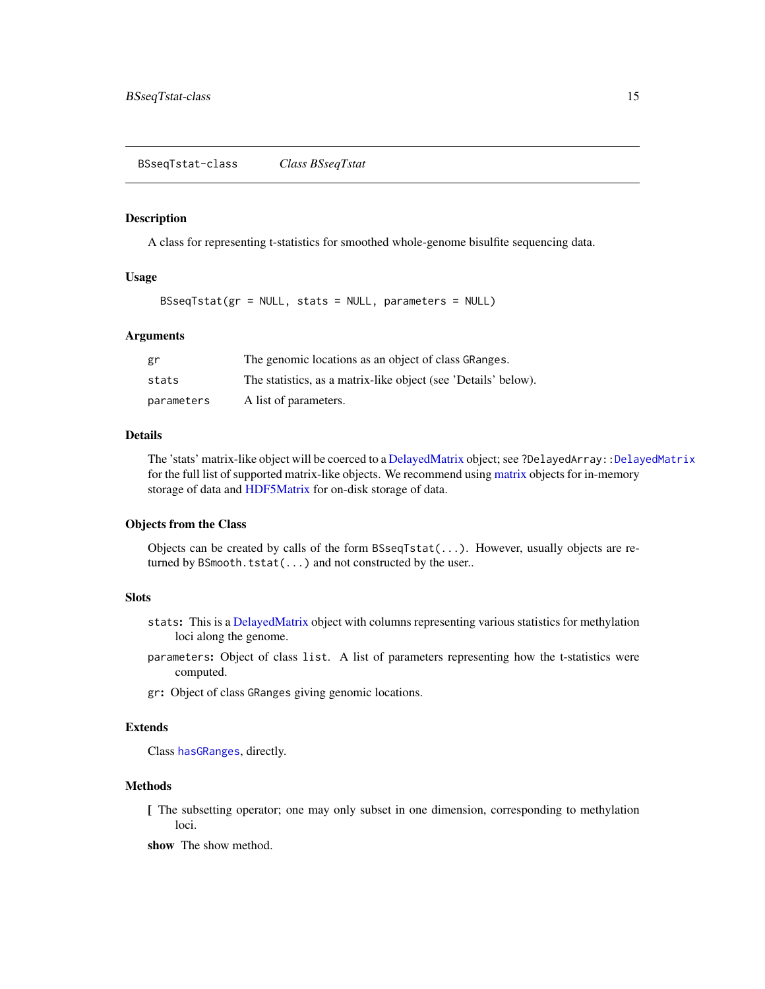#### <span id="page-14-1"></span><span id="page-14-0"></span>Description

A class for representing t-statistics for smoothed whole-genome bisulfite sequencing data.

# Usage

BSseqTstat(gr = NULL, stats = NULL, parameters = NULL)

#### Arguments

| gr         | The genomic locations as an object of class GRanges.           |
|------------|----------------------------------------------------------------|
| stats      | The statistics, as a matrix-like object (see 'Details' below). |
| parameters | A list of parameters.                                          |

#### Details

The 'stats' matrix-like object will be coerced to a [DelayedMatrix](#page-0-0) object; see ?DelayedArray:[:DelayedMatrix](#page-0-0) for the full list of supported matrix-like objects. We recommend using [matrix](#page-0-0) objects for in-memory storage of data and [HDF5Matrix](#page-0-0) for on-disk storage of data.

# Objects from the Class

Objects can be created by calls of the form BSseqTstat(...). However, usually objects are returned by BSmooth.tstat(...) and not constructed by the user..

# Slots

- stats: This is a [DelayedMatrix](#page-0-0) object with columns representing various statistics for methylation loci along the genome.
- parameters: Object of class list. A list of parameters representing how the t-statistics were computed.
- gr: Object of class GRanges giving genomic locations.

# Extends

Class [hasGRanges](#page-27-1), directly.

# Methods

[ The subsetting operator; one may only subset in one dimension, corresponding to methylation loci.

show The show method.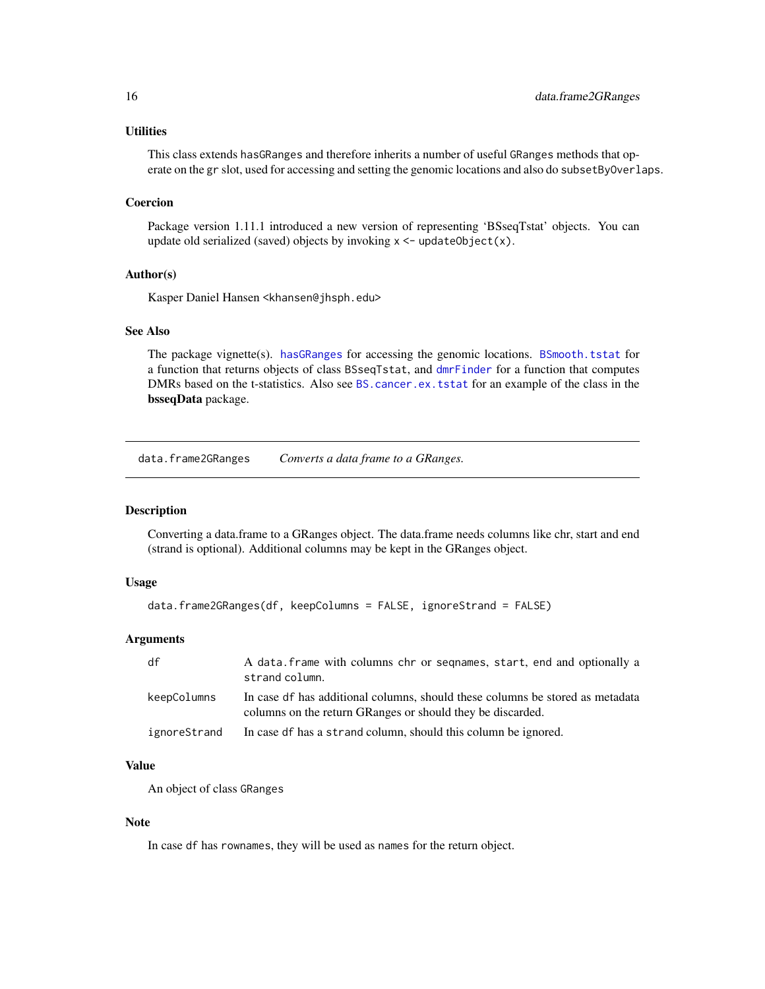# <span id="page-15-0"></span>**Utilities**

This class extends hasGRanges and therefore inherits a number of useful GRanges methods that operate on the gr slot, used for accessing and setting the genomic locations and also do subsetByOverlaps.

# Coercion

Package version 1.11.1 introduced a new version of representing 'BSseqTstat' objects. You can update old serialized (saved) objects by invoking  $x \leq$ -updateObject(x).

# Author(s)

Kasper Daniel Hansen <khansen@jhsph.edu>

# See Also

The package vignette(s). [hasGRanges](#page-27-1) for accessing the genomic locations. [BSmooth.tstat](#page-6-1) for a function that returns objects of class BSseqTstat, and [dmrFinder](#page-16-1) for a function that computes DMRs based on the t-statistics. Also see [BS.cancer.ex.tstat](#page-0-0) for an example of the class in the bsseqData package.

data.frame2GRanges *Converts a data frame to a GRanges.*

# Description

Converting a data.frame to a GRanges object. The data.frame needs columns like chr, start and end (strand is optional). Additional columns may be kept in the GRanges object.

# Usage

```
data.frame2GRanges(df, keepColumns = FALSE, ignoreStrand = FALSE)
```
# Arguments

| df           | A data. frame with columns chr or seqnames, start, end and optionally a<br>strand column.                                                   |
|--------------|---------------------------------------------------------------------------------------------------------------------------------------------|
| keepColumns  | In case of has additional columns, should these columns be stored as metadata<br>columns on the return GRanges or should they be discarded. |
| ignoreStrand | In case of has a strand column, should this column be ignored.                                                                              |

# Value

An object of class GRanges

#### Note

In case df has rownames, they will be used as names for the return object.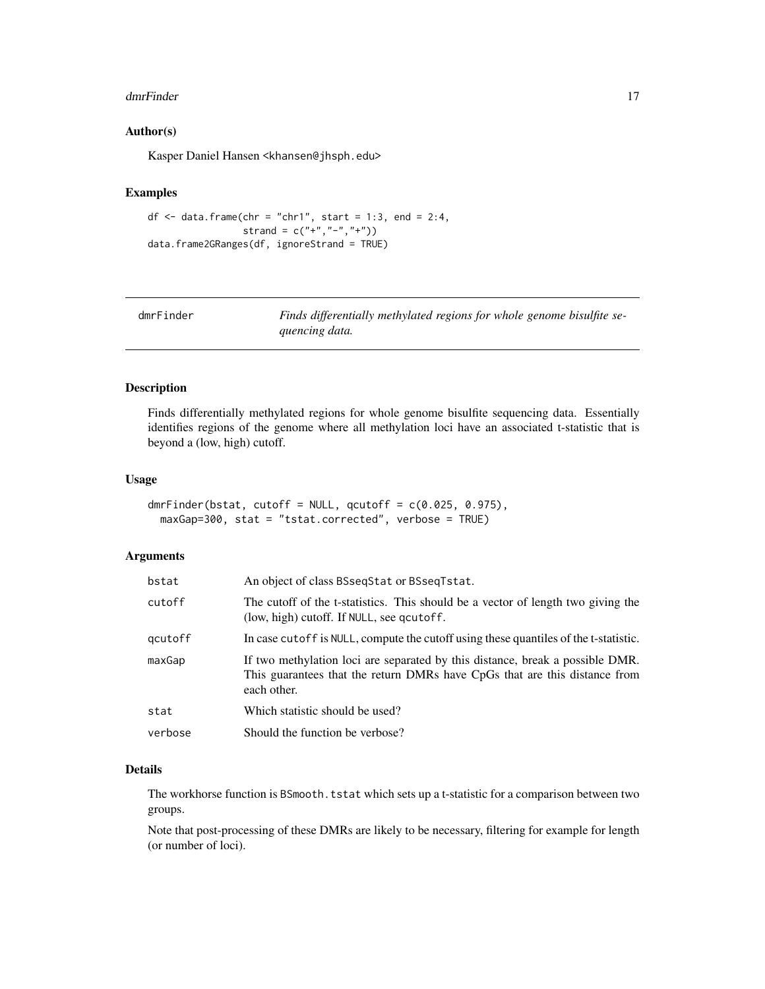#### <span id="page-16-0"></span>dmrFinder 17

# Author(s)

Kasper Daniel Hansen <khansen@jhsph.edu>

# Examples

```
df \leq data.frame(chr = "chr1", start = 1:3, end = 2:4,
                 strand = c("+", "-", "+")data.frame2GRanges(df, ignoreStrand = TRUE)
```
<span id="page-16-1"></span>

| dmrFinder | Finds differentially methylated regions for whole genome bisulfite se- |
|-----------|------------------------------------------------------------------------|
|           | quencing data.                                                         |

# Description

Finds differentially methylated regions for whole genome bisulfite sequencing data. Essentially identifies regions of the genome where all methylation loci have an associated t-statistic that is beyond a (low, high) cutoff.

# Usage

```
dmrFinder(bstat, cutoff = NULL, qcutoff = c(0.025, 0.975),
 maxGap=300, stat = "tstat.corrected", verbose = TRUE)
```
# Arguments

| bstat   | An object of class BSseqStat or BSseqTstat.                                                                                                                                |
|---------|----------------------------------------------------------------------------------------------------------------------------------------------------------------------------|
| cutoff  | The cutoff of the t-statistics. This should be a vector of length two giving the<br>(low, high) cutoff. If NULL, see qcutoff.                                              |
| qcutoff | In case cutoff is NULL, compute the cutoff using these quantiles of the t-statistic.                                                                                       |
| maxGap  | If two methylation loci are separated by this distance, break a possible DMR.<br>This guarantees that the return DMRs have CpGs that are this distance from<br>each other. |
| stat    | Which statistic should be used?                                                                                                                                            |
| verbose | Should the function be verbose?                                                                                                                                            |
|         |                                                                                                                                                                            |

# Details

The workhorse function is BSmooth.tstat which sets up a t-statistic for a comparison between two groups.

Note that post-processing of these DMRs are likely to be necessary, filtering for example for length (or number of loci).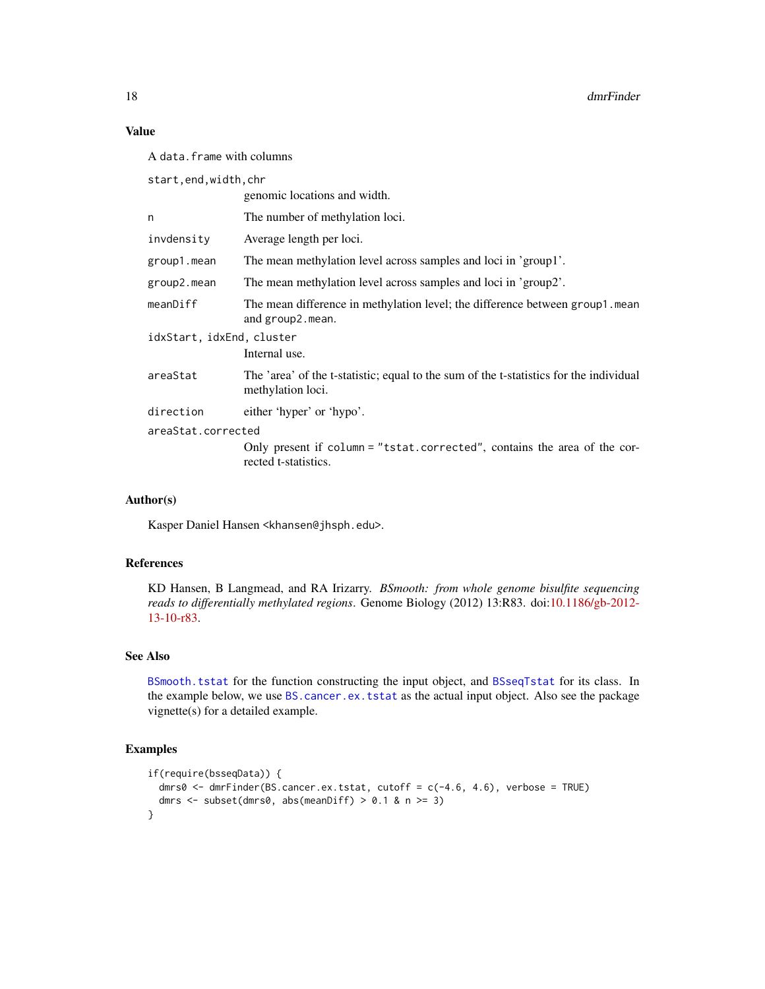# Value

A data.frame with columns

start,end,width,chr

|                           | genomic locations and width.                                                                                |  |
|---------------------------|-------------------------------------------------------------------------------------------------------------|--|
| n                         | The number of methylation loci.                                                                             |  |
| invdensity                | Average length per loci.                                                                                    |  |
| group1.mean               | The mean methylation level across samples and loci in 'group1'.                                             |  |
| group2.mean               | The mean methylation level across samples and loci in 'group2'.                                             |  |
| meanDiff                  | The mean difference in methylation level; the difference between group1.mean<br>and group2.mean.            |  |
| idxStart, idxEnd, cluster |                                                                                                             |  |
|                           | Internal use.                                                                                               |  |
| areaStat                  | The 'area' of the t-statistic; equal to the sum of the t-statistics for the individual<br>methylation loci. |  |
| direction                 | either 'hyper' or 'hypo'.                                                                                   |  |
| areaStat.corrected        |                                                                                                             |  |
|                           | Only present if column = "tstat.corrected", contains the area of the cor-<br>rected t-statistics.           |  |
|                           |                                                                                                             |  |

# Author(s)

Kasper Daniel Hansen <khansen@jhsph.edu>.

# References

KD Hansen, B Langmead, and RA Irizarry. *BSmooth: from whole genome bisulfite sequencing reads to differentially methylated regions*. Genome Biology (2012) 13:R83. doi[:10.1186/gb-2012-](http://www.dx.doi.org/10.1186/gb-2012-13-10-r83) [13-10-r83.](http://www.dx.doi.org/10.1186/gb-2012-13-10-r83)

# See Also

[BSmooth.tstat](#page-6-1) for the function constructing the input object, and [BSseqTstat](#page-14-1) for its class. In the example below, we use [BS.cancer.ex.tstat](#page-0-0) as the actual input object. Also see the package vignette(s) for a detailed example.

# Examples

```
if(require(bsseqData)) {
 dmrs0 <- dmrFinder(BS.cancer.ex.tstat, cutoff = c(-4.6, 4.6), verbose = TRUE)
 dmrs \le subset(dmrs0, abs(meanDiff) > 0.1 & n >= 3)
}
```
<span id="page-17-0"></span>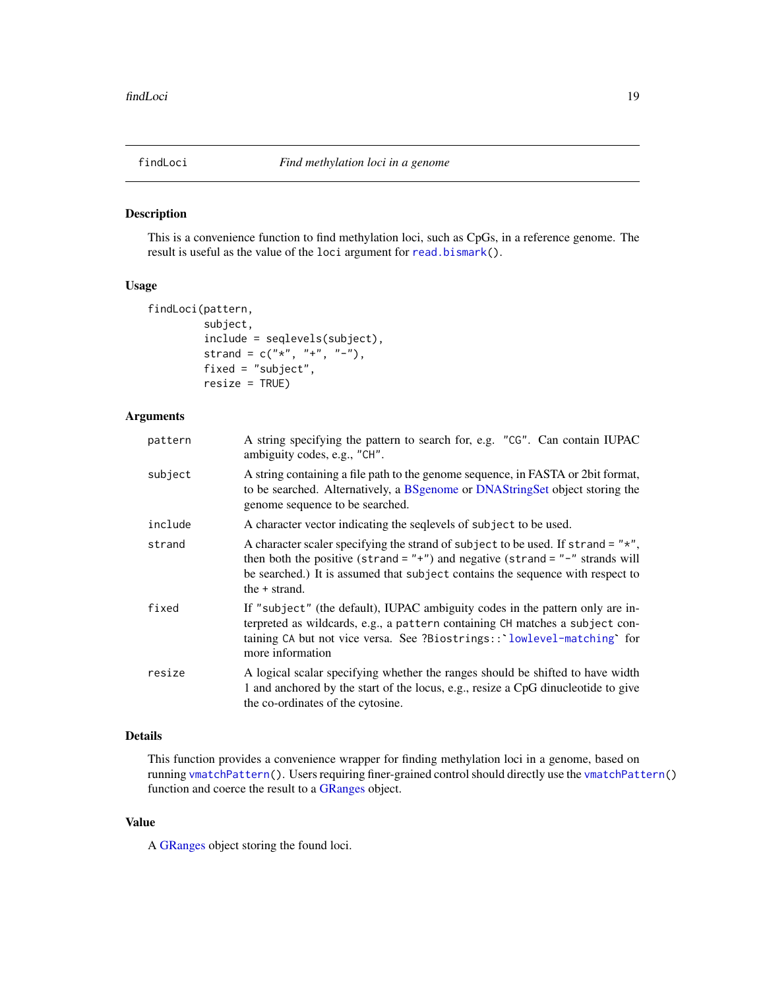<span id="page-18-1"></span><span id="page-18-0"></span>

# Description

This is a convenience function to find methylation loci, such as CpGs, in a reference genome. The result is useful as the value of the loci argument for [read.bismark\(](#page-30-1)).

# Usage

```
findLoci(pattern,
        subject,
         include = seqlevels(subject),
         strand = c("*", "+", "-"),fixed = "subject",
         resize = TRUE)
```
# Arguments

| pattern | A string specifying the pattern to search for, e.g. "CG". Can contain IUPAC<br>ambiguity codes, e.g., "CH".                                                                                                                                                                    |
|---------|--------------------------------------------------------------------------------------------------------------------------------------------------------------------------------------------------------------------------------------------------------------------------------|
| subject | A string containing a file path to the genome sequence, in FASTA or 2bit format,<br>to be searched. Alternatively, a BSgenome or DNAStringSet object storing the<br>genome sequence to be searched.                                                                            |
| include | A character vector indicating the seqlevels of subject to be used.                                                                                                                                                                                                             |
| strand  | A character scaler specifying the strand of subject to be used. If strand = $"*$ ",<br>then both the positive (strand = $"+"$ ) and negative (strand = $"-"$ strands will<br>be searched.) It is assumed that subject contains the sequence with respect to<br>the $+$ strand. |
| fixed   | If "subject" (the default), IUPAC ambiguity codes in the pattern only are in-<br>terpreted as wildcards, e.g., a pattern containing CH matches a subject con-<br>taining CA but not vice versa. See ?Biostrings:: lowlevel-matching for<br>more information                    |
| resize  | A logical scalar specifying whether the ranges should be shifted to have width<br>1 and anchored by the start of the locus, e.g., resize a CpG dinucleotide to give<br>the co-ordinates of the cytosine.                                                                       |

# Details

This function provides a convenience wrapper for finding methylation loci in a genome, based on running [vmatchPattern\(](#page-0-0)). Users requiring finer-grained control should directly use the [vmatchPattern\(](#page-0-0)) function and coerce the result to a [GRanges](#page-0-0) object.

# Value

A [GRanges](#page-0-0) object storing the found loci.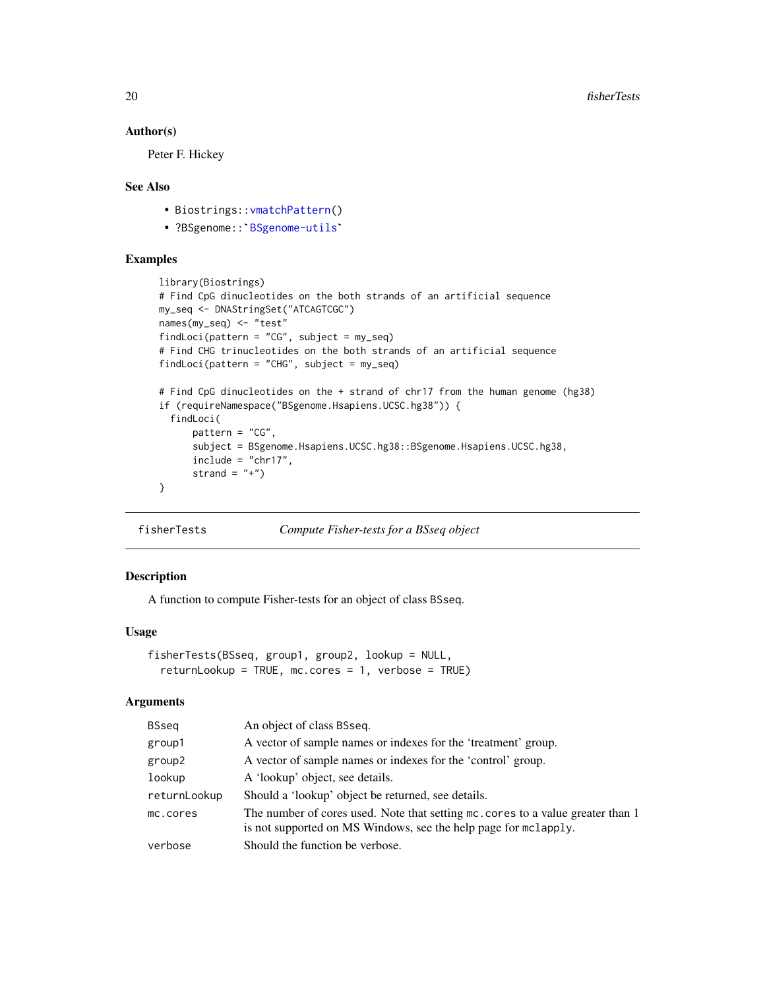# Author(s)

Peter F. Hickey

# See Also

- Biostrings:: vmatchPattern()
- o<br>• Biostrings::vmatchPattern()<br>• ?BSgenome::`[BSgenome-utils](#page-0-0)`

# Examples

```
library(Biostrings)
# Find CpG dinucleotides on the both strands of an artificial sequence
my_seq <- DNAStringSet("ATCAGTCGC")
names(my_seq) <- "test"
findLoci(pattern = "CG", subject = my_seq)
# Find CHG trinucleotides on the both strands of an artificial sequence
findLoci(pattern = "CHG", subject = my_seq)
# Find CpG dinucleotides on the + strand of chr17 from the human genome (hg38)
if (requireNamespace("BSgenome.Hsapiens.UCSC.hg38")) {
  findLoci(
     pattern = "CG",
      subject = BSgenome.Hsapiens.UCSC.hg38::BSgenome.Hsapiens.UCSC.hg38,
      include = "chr17",strand = "+')
}
```
fisherTests *Compute Fisher-tests for a BSseq object*

# Description

A function to compute Fisher-tests for an object of class BSseq.

# Usage

```
fisherTests(BSseq, group1, group2, lookup = NULL,
  returnLookup = TRUE, mc.cores = 1, verbose = TRUE)
```
#### Arguments

| <b>BSseq</b> | An object of class BSseq.                                                                                                                          |
|--------------|----------------------------------------------------------------------------------------------------------------------------------------------------|
| group1       | A vector of sample names or indexes for the 'treatment' group.                                                                                     |
| group2       | A vector of sample names or indexes for the 'control' group.                                                                                       |
| lookup       | A 'lookup' object, see details.                                                                                                                    |
| returnLookup | Should a 'lookup' object be returned, see details.                                                                                                 |
| mc.cores     | The number of cores used. Note that setting mc. cores to a value greater than 1<br>is not supported on MS Windows, see the help page for mclapply. |
| verbose      | Should the function be verbose.                                                                                                                    |

<span id="page-19-0"></span>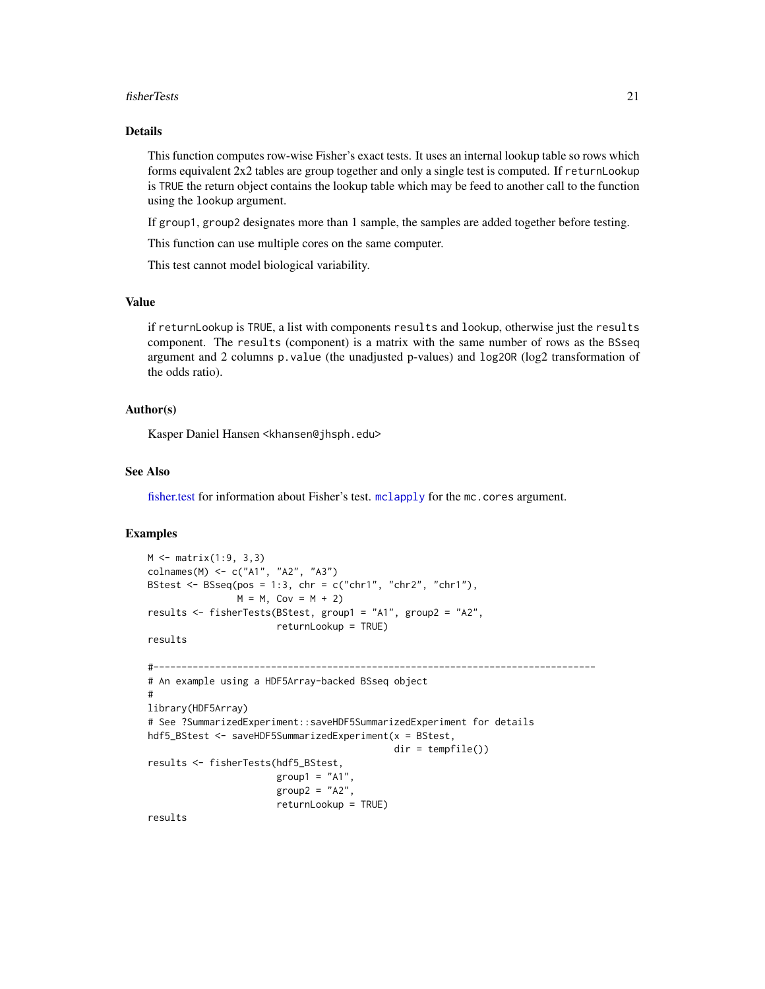#### <span id="page-20-0"></span>fisherTests 21

# Details

This function computes row-wise Fisher's exact tests. It uses an internal lookup table so rows which forms equivalent 2x2 tables are group together and only a single test is computed. If returnLookup is TRUE the return object contains the lookup table which may be feed to another call to the function using the lookup argument.

If group1, group2 designates more than 1 sample, the samples are added together before testing.

This function can use multiple cores on the same computer.

This test cannot model biological variability.

# Value

if returnLookup is TRUE, a list with components results and lookup, otherwise just the results component. The results (component) is a matrix with the same number of rows as the BSseq argument and 2 columns p.value (the unadjusted p-values) and log2OR (log2 transformation of the odds ratio).

# Author(s)

Kasper Daniel Hansen <khansen@jhsph.edu>

# See Also

[fisher.test](#page-0-0) for information about Fisher's test. [mclapply](#page-0-0) for the mc.cores argument.

# Examples

```
M <- matrix(1:9, 3,3)
colnames(M) <- c("A1", "A2", "A3")
BStest <- BSseq(pos = 1:3, chr = c("chr1", "chr2", "chr1"),
                M = M, Cov = M + 2)
results <- fisherTests(BStest, group1 = "A1", group2 = "A2",
                       returnLookup = TRUE)
results
#-------------------------------------------------------------------------------
# An example using a HDF5Array-backed BSseq object
#
library(HDF5Array)
# See ?SummarizedExperiment::saveHDF5SummarizedExperiment for details
hdf5_BStest <- saveHDF5SummarizedExperiment(x = BStest,
                                            dir = tempfile())
results <- fisherTests(hdf5_BStest,
                       group1 = "A1"group2 = "A2",returnLookup = TRUE)
```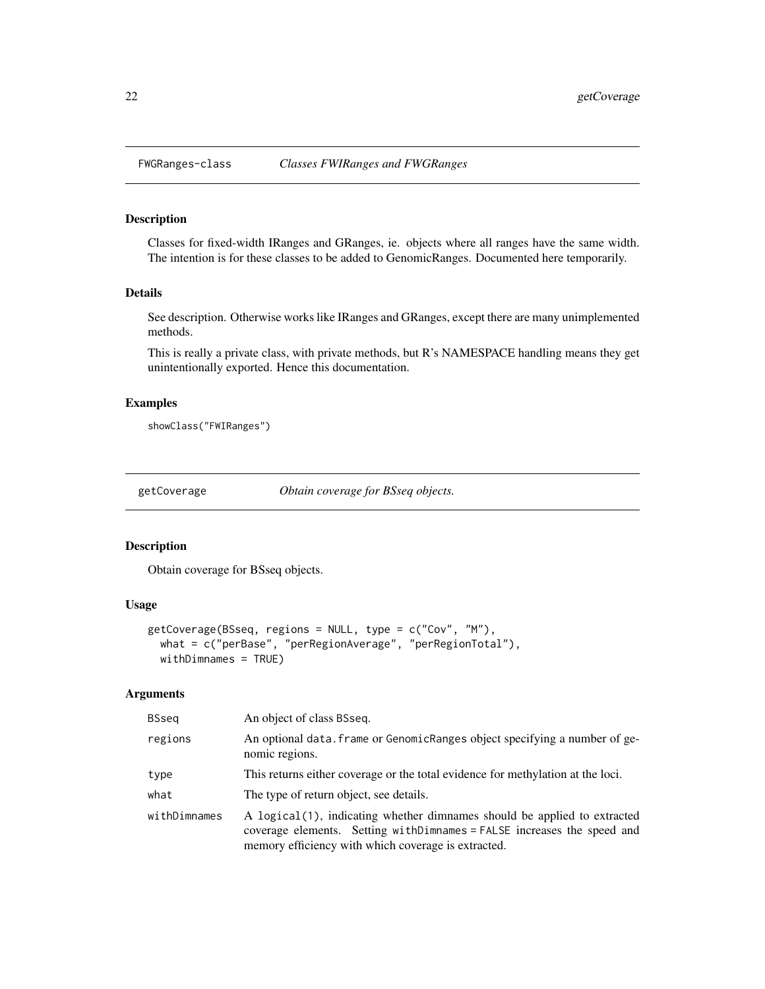<span id="page-21-0"></span>

# Description

Classes for fixed-width IRanges and GRanges, ie. objects where all ranges have the same width. The intention is for these classes to be added to GenomicRanges. Documented here temporarily.

#### Details

See description. Otherwise works like IRanges and GRanges, except there are many unimplemented methods.

This is really a private class, with private methods, but R's NAMESPACE handling means they get unintentionally exported. Hence this documentation.

# Examples

showClass("FWIRanges")

<span id="page-21-1"></span>getCoverage *Obtain coverage for BSseq objects.*

# Description

Obtain coverage for BSseq objects.

# Usage

```
getCoverage(BSseq, regions = NULL, type = c("Cov", "M"),
  what = c("perBase", "perRegionAverage", "perRegionTotal"),
 withDimnames = TRUE)
```
# Arguments

| BSseg        | An object of class BSseq.                                                                                                                                                                                    |
|--------------|--------------------------------------------------------------------------------------------------------------------------------------------------------------------------------------------------------------|
| regions      | An optional data. frame or GenomicRanges object specifying a number of ge-<br>nomic regions.                                                                                                                 |
| type         | This returns either coverage or the total evidence for methylation at the loci.                                                                                                                              |
| what         | The type of return object, see details.                                                                                                                                                                      |
| withDimnames | A logical (1), indicating whether dimnames should be applied to extracted<br>coverage elements. Setting with Dimnames = FALSE increases the speed and<br>memory efficiency with which coverage is extracted. |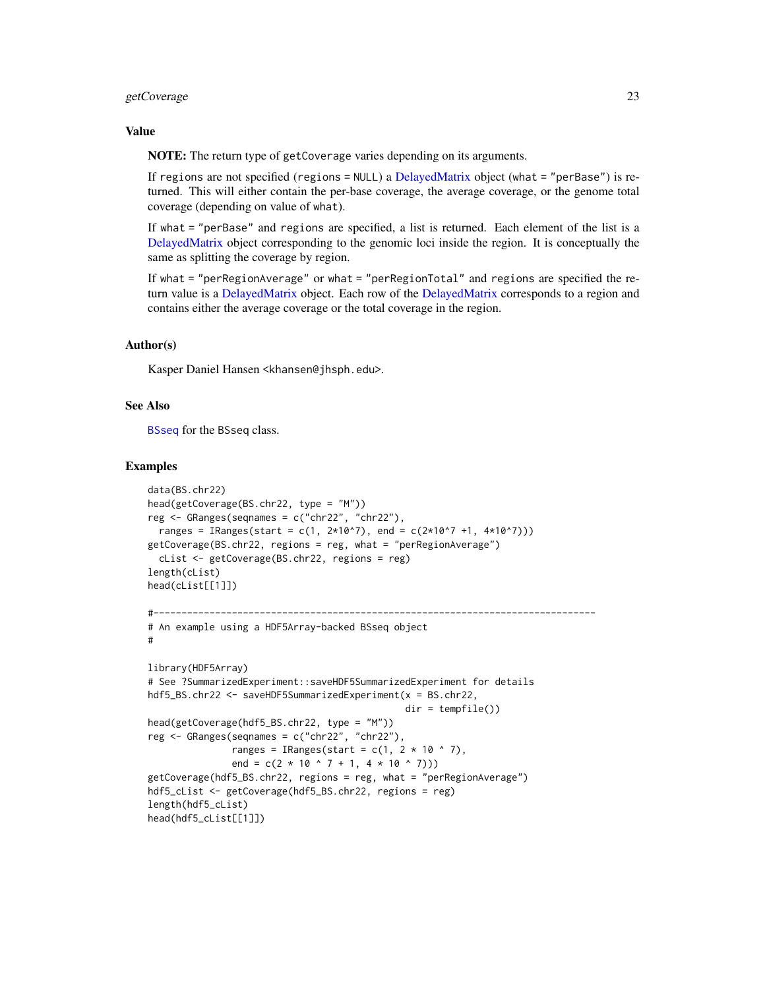# <span id="page-22-0"></span>getCoverage 23

# Value

NOTE: The return type of getCoverage varies depending on its arguments.

If regions are not specified (regions = NULL) a [DelayedMatrix](#page-0-0) object (what = "perBase") is returned. This will either contain the per-base coverage, the average coverage, or the genome total coverage (depending on value of what).

If what = "perBase" and regions are specified, a list is returned. Each element of the list is a [DelayedMatrix](#page-0-0) object corresponding to the genomic loci inside the region. It is conceptually the same as splitting the coverage by region.

If what = "perRegionAverage" or what = "perRegionTotal" and regions are specified the return value is a [DelayedMatrix](#page-0-0) object. Each row of the [DelayedMatrix](#page-0-0) corresponds to a region and contains either the average coverage or the total coverage in the region.

# Author(s)

Kasper Daniel Hansen <khansen@jhsph.edu>.

# See Also

[BSseq](#page-9-1) for the BSseq class.

# Examples

```
data(BS.chr22)
head(getCoverage(BS.chr22, type = "M"))
reg \leq GRanges(seqnames = c("chr22", "chr22"),
  ranges = IRanges(start = c(1, 2*10^7), end = c(2*10^7 +1, 4*10^7)))
getCoverage(BS.chr22, regions = reg, what = "perRegionAverage")
  cList <- getCoverage(BS.chr22, regions = reg)
length(cList)
head(cList[[1]])
#-------------------------------------------------------------------------------
# An example using a HDF5Array-backed BSseq object
#
library(HDF5Array)
# See ?SummarizedExperiment::saveHDF5SummarizedExperiment for details
hdf5_BS.chr22 <- saveHDF5SummarizedExperiment(x = BS.chr22,
                                                dir = tempfile()head(getCoverage(hdf5_BS.chr22, type = "M"))
reg <- GRanges(seqnames = c("chr22", "chr22"),
               ranges = IRanges(start = c(1, 2 * 10 ^ \circ 7),end = c(2 \times 10 \times 7 + 1, 4 \times 10 \times 7))getCoverage(hdf5_BS.chr22, regions = reg, what = "perRegionAverage")
hdf5_cList <- getCoverage(hdf5_BS.chr22, regions = reg)
length(hdf5_cList)
head(hdf5_cList[[1]])
```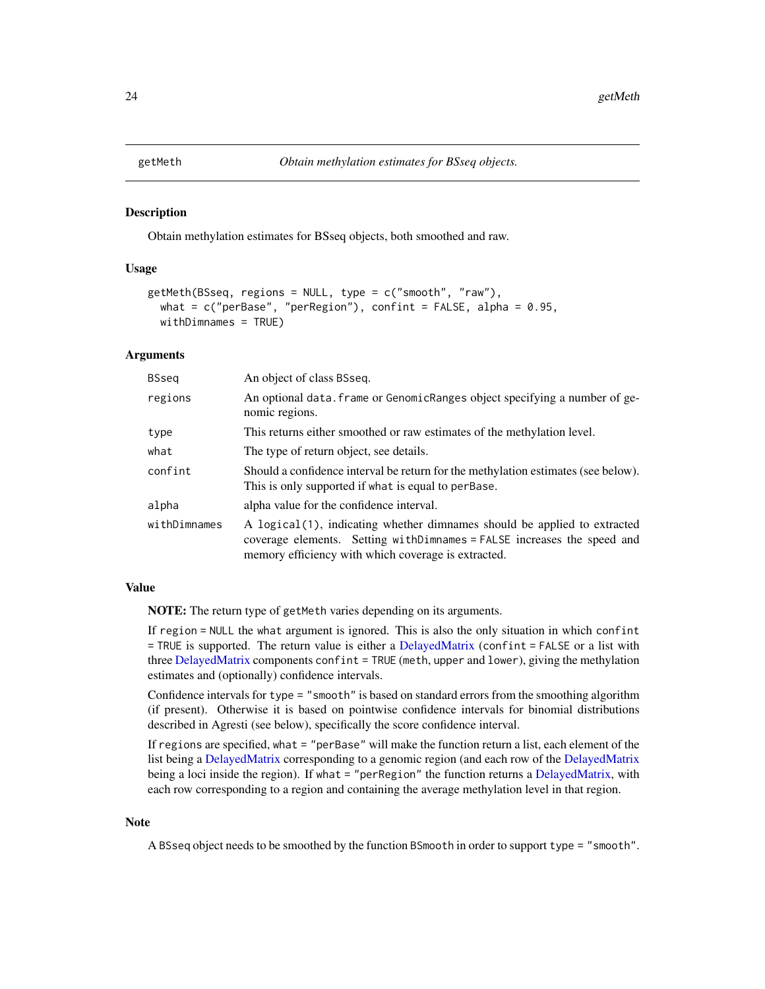<span id="page-23-1"></span><span id="page-23-0"></span>

#### Description

Obtain methylation estimates for BSseq objects, both smoothed and raw.

# Usage

```
getMeth(BSseq, regions = NULL, type = c("smooth", "raw"),
 what = c("perBase", "perRegion"), conflict = FALSE, alpha = 0.95,withDimnames = TRUE)
```
#### Arguments

| <b>BSseq</b> | An object of class BSseq.                                                                                                                                                                                   |
|--------------|-------------------------------------------------------------------------------------------------------------------------------------------------------------------------------------------------------------|
| regions      | An optional data. frame or GenomicRanges object specifying a number of ge-<br>nomic regions.                                                                                                                |
| type         | This returns either smoothed or raw estimates of the methylation level.                                                                                                                                     |
| what         | The type of return object, see details.                                                                                                                                                                     |
| confint      | Should a confidence interval be return for the methylation estimates (see below).<br>This is only supported if what is equal to perBase.                                                                    |
| alpha        | alpha value for the confidence interval.                                                                                                                                                                    |
| withDimnames | A logical(1), indicating whether dimnames should be applied to extracted<br>coverage elements. Setting with Dimnames = FALSE increases the speed and<br>memory efficiency with which coverage is extracted. |

# Value

NOTE: The return type of getMeth varies depending on its arguments.

If region = NULL the what argument is ignored. This is also the only situation in which confint = TRUE is supported. The return value is either a [DelayedMatrix](#page-0-0) (confint = FALSE or a list with three [DelayedMatrix](#page-0-0) components confint = TRUE (meth, upper and lower), giving the methylation estimates and (optionally) confidence intervals.

Confidence intervals for type = "smooth" is based on standard errors from the smoothing algorithm (if present). Otherwise it is based on pointwise confidence intervals for binomial distributions described in Agresti (see below), specifically the score confidence interval.

If regions are specified, what = "perBase" will make the function return a list, each element of the list being a [DelayedMatrix](#page-0-0) corresponding to a genomic region (and each row of the [DelayedMatrix](#page-0-0) being a loci inside the region). If what = "perRegion" the function returns a [DelayedMatrix,](#page-0-0) with each row corresponding to a region and containing the average methylation level in that region.

# Note

A BSseq object needs to be smoothed by the function BSmooth in order to support type = "smooth".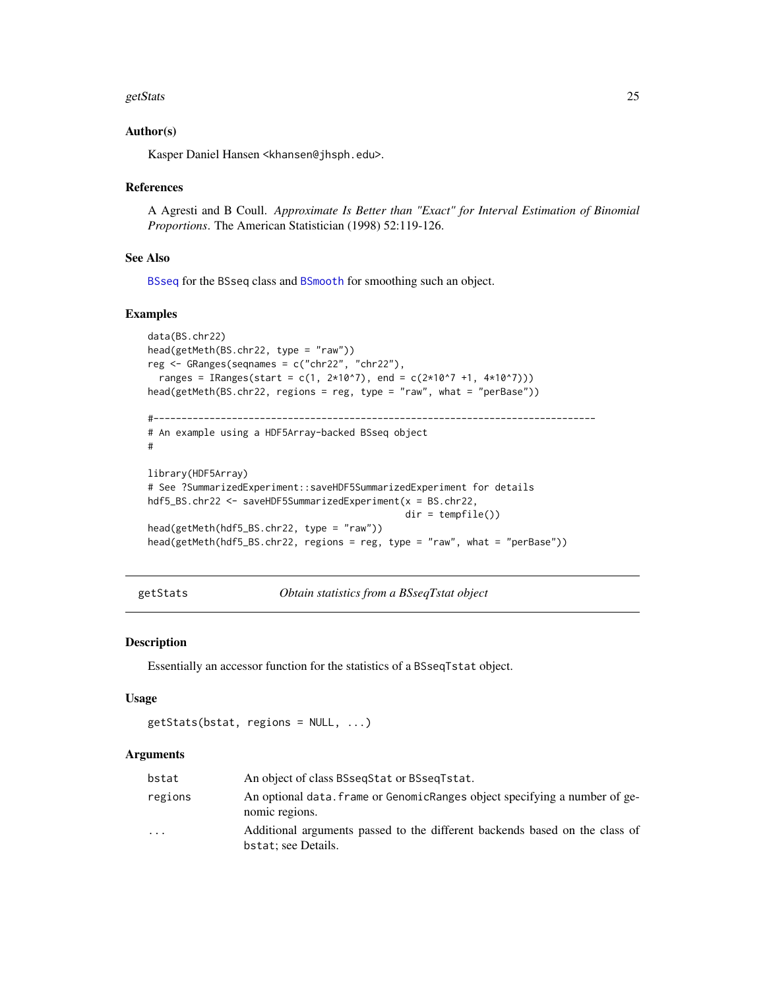#### <span id="page-24-0"></span>getStats 25

# Author(s)

Kasper Daniel Hansen <khansen@jhsph.edu>.

# References

A Agresti and B Coull. *Approximate Is Better than "Exact" for Interval Estimation of Binomial Proportions*. The American Statistician (1998) 52:119-126.

# See Also

[BSseq](#page-9-1) for the BSseq class and [BSmooth](#page-2-1) for smoothing such an object.

# Examples

```
data(BS.chr22)
head(getMeth(BS.chr22, type = "raw"))
reg <- GRanges(seqnames = c("chr22", "chr22"),
  ranges = IRanges(start = c(1, 2*10^7), end = c(2*10^7 +1, 4*10^7)))
head(getMeth(BS.chr22, regions = reg, type = "raw", what = "perBase"))
#-------------------------------------------------------------------------------
# An example using a HDF5Array-backed BSseq object
#
library(HDF5Array)
# See ?SummarizedExperiment::saveHDF5SummarizedExperiment for details
hdf5_BS.chr22 <- saveHDF5SummarizedExperiment(x = BS.chr22,
                                              dir = tempfile())
head(getMeth(hdf5_BS.chr22, type = "raw"))
head(getMeth(hdf5_BS.chr22, regions = reg, type = "raw", what = "perBase"))
```
getStats *Obtain statistics from a BSseqTstat object*

#### Description

Essentially an accessor function for the statistics of a BSseqTstat object.

#### Usage

```
getsStats(bstat, regions = NULL, ...)
```
#### Arguments

| bstat   | An object of class BSseqStat or BSseqTstat.                                                        |
|---------|----------------------------------------------------------------------------------------------------|
| regions | An optional data. Frame or GenomicRanges object specifying a number of ge-<br>nomic regions.       |
| $\cdot$ | Additional arguments passed to the different backends based on the class of<br>bstat; see Details. |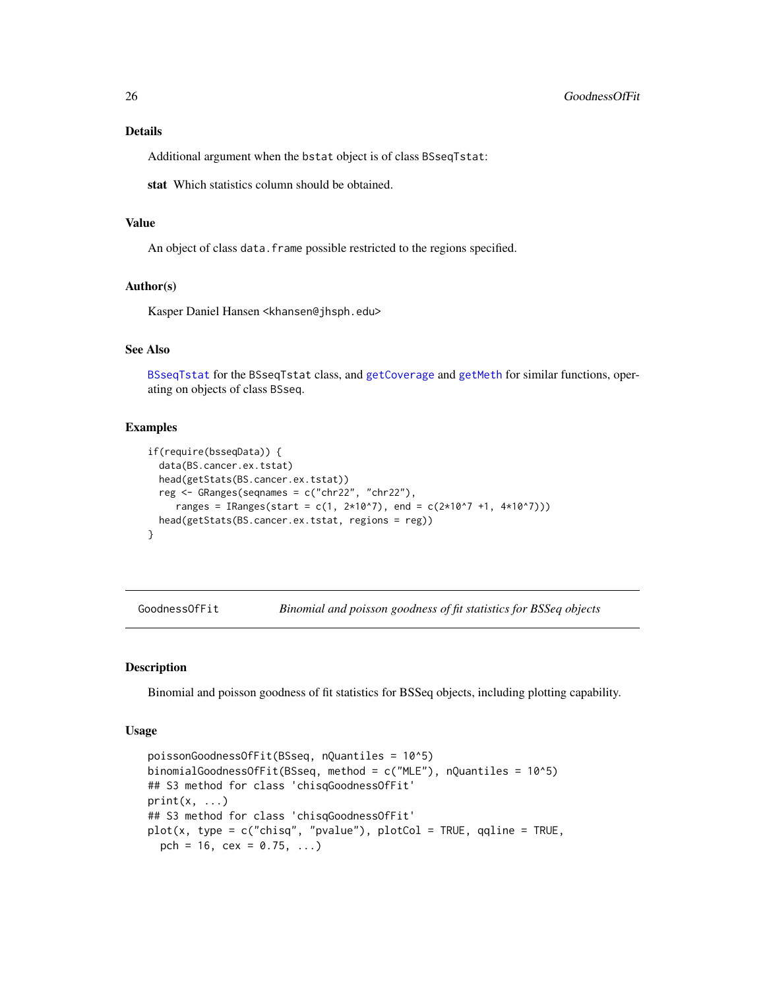# <span id="page-25-0"></span>Details

Additional argument when the bstat object is of class BSseqTstat:

stat Which statistics column should be obtained.

# Value

An object of class data. frame possible restricted to the regions specified.

# Author(s)

Kasper Daniel Hansen <khansen@jhsph.edu>

# See Also

[BSseqTstat](#page-14-1) for the BSseqTstat class, and [getCoverage](#page-21-1) and [getMeth](#page-23-1) for similar functions, operating on objects of class BSseq.

#### Examples

```
if(require(bsseqData)) {
 data(BS.cancer.ex.tstat)
 head(getStats(BS.cancer.ex.tstat))
 reg <- GRanges(seqnames = c("chr22", "chr22"),
     ranges = IRanges(start = c(1, 2*10^7), end = c(2*10^7 +1, 4*10^7)))
 head(getStats(BS.cancer.ex.tstat, regions = reg))
}
```
GoodnessOfFit *Binomial and poisson goodness of fit statistics for BSSeq objects*

# Description

Binomial and poisson goodness of fit statistics for BSSeq objects, including plotting capability.

#### Usage

```
poissonGoodnessOfFit(BSseq, nQuantiles = 10^5)
binomialGoodnessOfFit(BSseq, method = c("MLE"), nQuantiles = 10^65)
## S3 method for class 'chisqGoodnessOfFit'
print(x, \ldots)## S3 method for class 'chisqGoodnessOfFit'
plot(x, type = c("chisq", "pvalue"), plotCol = TRUE, qqline = TRUE,
  pch = 16, cex = 0.75, ...)
```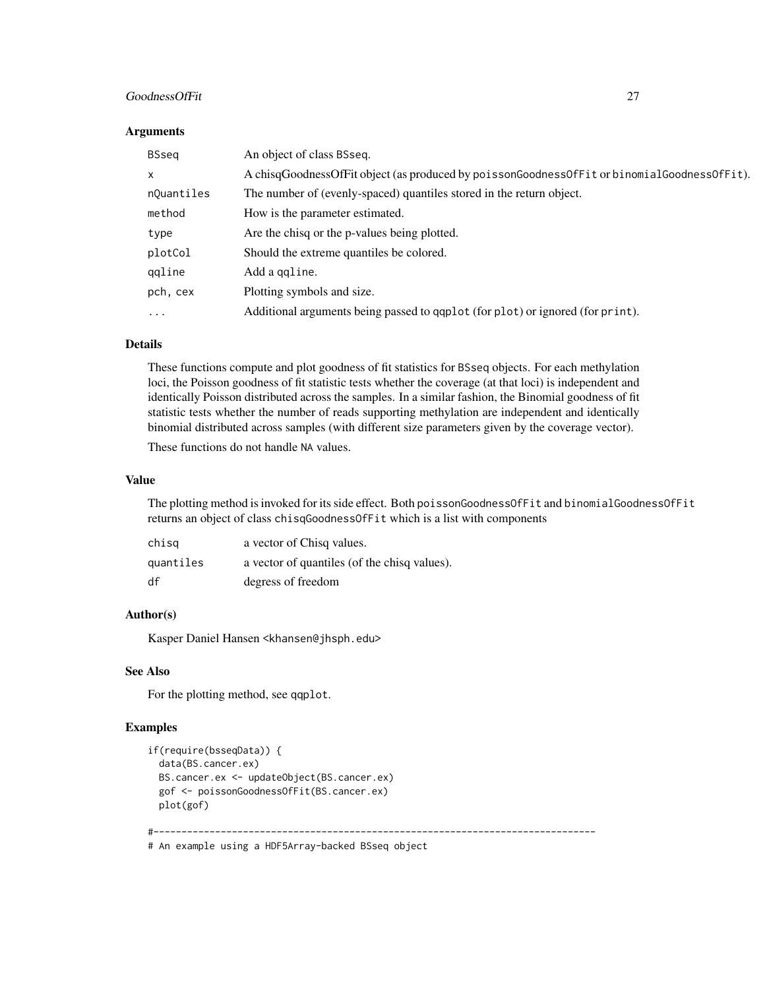# GoodnessOfFit 27

#### **Arguments**

| BSseg        | An object of class BSseq.                                                                   |  |
|--------------|---------------------------------------------------------------------------------------------|--|
| $\mathsf{x}$ | A chisqGoodnessOfFit object (as produced by poissonGoodnessOfFit or binomialGoodnessOfFit). |  |
| nQuantiles   | The number of (evenly-spaced) quantiles stored in the return object.                        |  |
| method       | How is the parameter estimated.                                                             |  |
| type         | Are the chisq or the p-values being plotted.                                                |  |
| plotCol      | Should the extreme quantiles be colored.                                                    |  |
| qqline       | Add a ggline.                                                                               |  |
| pch, cex     | Plotting symbols and size.                                                                  |  |
| $\cdots$     | Additional arguments being passed to qqplot (for plot) or ignored (for print).              |  |
|              |                                                                                             |  |

# Details

These functions compute and plot goodness of fit statistics for BSseq objects. For each methylation loci, the Poisson goodness of fit statistic tests whether the coverage (at that loci) is independent and identically Poisson distributed across the samples. In a similar fashion, the Binomial goodness of fit statistic tests whether the number of reads supporting methylation are independent and identically binomial distributed across samples (with different size parameters given by the coverage vector).

These functions do not handle NA values.

# Value

The plotting method is invoked for its side effect. Both poissonGoodnessOfFit and binomialGoodnessOfFit returns an object of class chisqGoodnessOfFit which is a list with components

| chisg     | a vector of Chisq values.                    |
|-----------|----------------------------------------------|
| quantiles | a vector of quantiles (of the chisq values). |
| df        | degress of freedom                           |

# Author(s)

Kasper Daniel Hansen <khansen@jhsph.edu>

# See Also

For the plotting method, see qqplot.

# Examples

```
if(require(bsseqData)) {
 data(BS.cancer.ex)
 BS.cancer.ex <- updateObject(BS.cancer.ex)
 gof <- poissonGoodnessOfFit(BS.cancer.ex)
 plot(gof)
```
#-------------------------------------------------------------------------------

# An example using a HDF5Array-backed BSseq object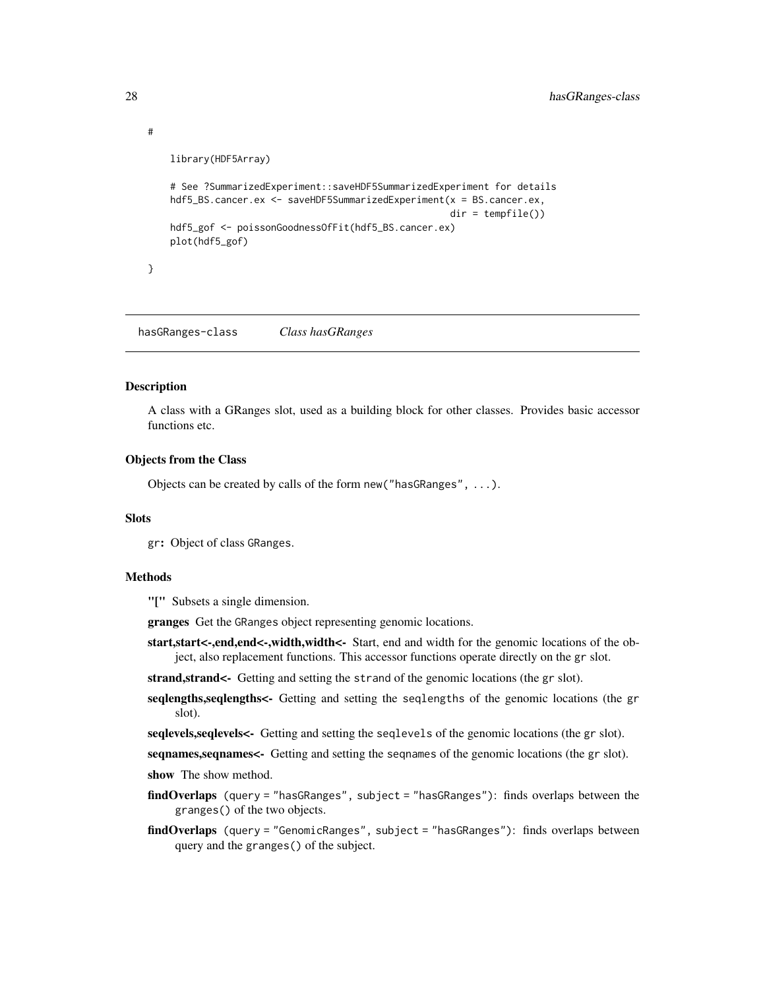```
library(HDF5Array)
```

```
# See ?SummarizedExperiment::saveHDF5SummarizedExperiment for details
hdf5_BS.cancer.ex <- saveHDF5SummarizedExperiment(x = BS.cancer.ex,
                                                  dir = tempfile())
hdf5_gof <- poissonGoodnessOfFit(hdf5_BS.cancer.ex)
plot(hdf5_gof)
```
}

<span id="page-27-1"></span>hasGRanges-class *Class hasGRanges*

#### **Description**

A class with a GRanges slot, used as a building block for other classes. Provides basic accessor functions etc.

# Objects from the Class

Objects can be created by calls of the form new("hasGRanges", ...).

#### **Slots**

gr: Object of class GRanges.

# Methods

"[" Subsets a single dimension.

granges Get the GRanges object representing genomic locations.

start, start<-, end, end <-, width, width <- Start, end and width for the genomic locations of the object, also replacement functions. This accessor functions operate directly on the gr slot.

strand, strand<- Getting and setting the strand of the genomic locations (the gr slot).

seqlengths, seqlengths <- Getting and setting the seqlengths of the genomic locations (the gr slot).

seqlevels, seqlevels<- Getting and setting the seqlevels of the genomic locations (the gr slot).

seqnames, seqnames <- Getting and setting the seqnames of the genomic locations (the gr slot).

show The show method.

- findOverlaps (query = "hasGRanges", subject = "hasGRanges"): finds overlaps between the granges() of the two objects.
- findOverlaps (query = "GenomicRanges", subject = "hasGRanges"): finds overlaps between query and the granges() of the subject.

<span id="page-27-0"></span>

#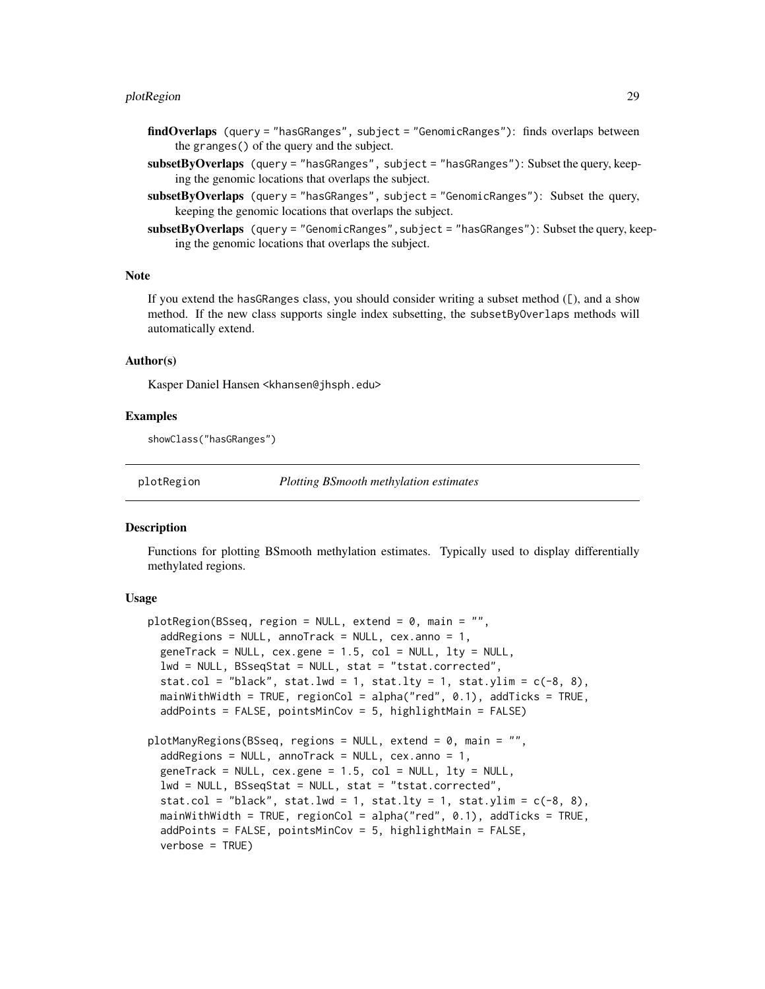#### <span id="page-28-0"></span>plotRegion 29

- findOverlaps (query = "hasGRanges", subject = "GenomicRanges"): finds overlaps between the granges() of the query and the subject.
- subsetByOverlaps (query = "hasGRanges", subject = "hasGRanges"): Subset the query, keeping the genomic locations that overlaps the subject.
- subsetByOverlaps (query = "hasGRanges", subject = "GenomicRanges"): Subset the query, keeping the genomic locations that overlaps the subject.
- subsetByOverlaps (query = "GenomicRanges", subject = "hasGRanges"): Subset the query, keeping the genomic locations that overlaps the subject.

# Note

If you extend the has GRanges class, you should consider writing a subset method  $(\mathcal{L})$ , and a show method. If the new class supports single index subsetting, the subsetByOverlaps methods will automatically extend.

#### Author(s)

Kasper Daniel Hansen <khansen@jhsph.edu>

#### Examples

showClass("hasGRanges")

plotRegion *Plotting BSmooth methylation estimates*

# Description

Functions for plotting BSmooth methylation estimates. Typically used to display differentially methylated regions.

# Usage

```
plotRegion(BSseq, region = NULL, extend = 0, main = "",
  addRegions = NULL, ann{\text{rank}} = NULL, cex. ann{\text{col}} = 1,geneTrack = NULL, cex.gene = 1.5, col = NULL, lty = NULL,
  lwd = NULL, BSseqStat = NULL, stat = "tstat.corrected",
  stat.col = "black", stat.lwd = 1, stat.lty = 1, stat.ylim = c(-8, 8),
 mainWithWidth = TRUE, regionCol = alpha("red", 0.1), addTicks = TRUE,
  addPoints = FALSE, pointsMinCov = 5, highlightMain = FALSE)
plotManyRegions(BSseq, regions = NULL, extend = 0, main = "",
  addRegions = NULL, ann{\text{rank}} = NULL, cex. ann{\text{col}} = 1,geneTrack = NULL, cex.gene = 1.5, col = NULL, lty = NULL,
  lwd = NULL, BSseqStat = NULL, stat = "tstat.corrected",
  stat.col = "black", stat.lwd = 1, stat.lty = 1, stat.ylim = c(-8, 8),
 mainWithWidth = TRUE, regionCol = alpha("red", 0.1), addTicks = TRUE,
  addPoints = FALSE, pointsMinCov = 5, highlightMain = FALSE,
  verbase = TRUE)
```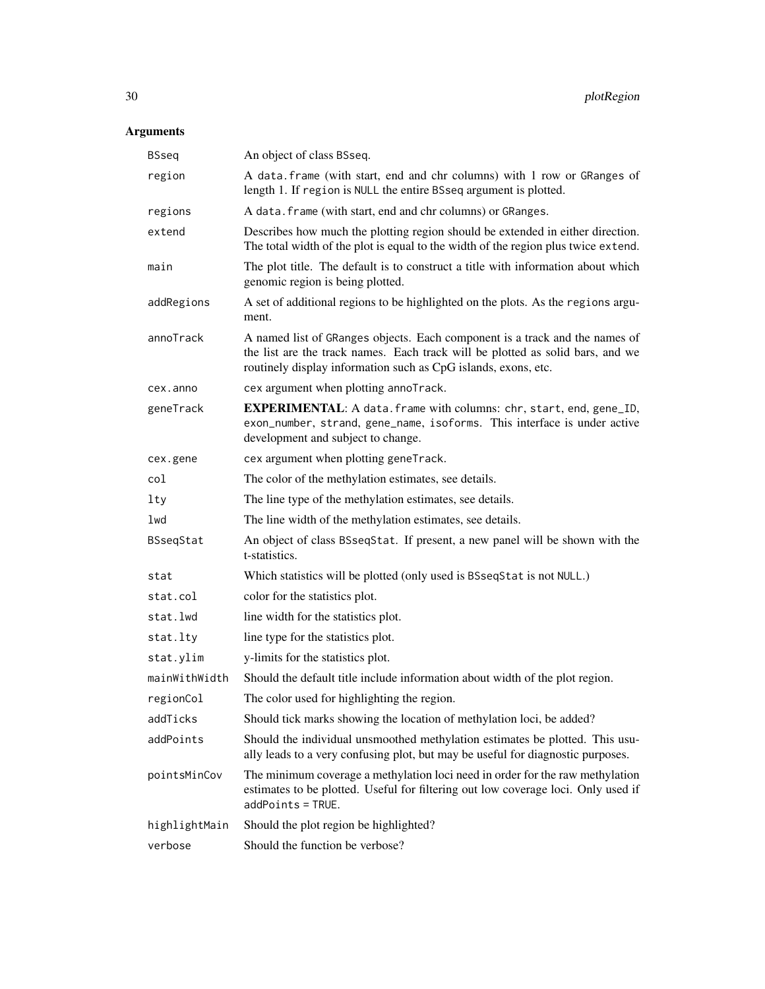# Arguments

| <b>BSseq</b>  | An object of class BSseq.                                                                                                                                                                                                       |  |
|---------------|---------------------------------------------------------------------------------------------------------------------------------------------------------------------------------------------------------------------------------|--|
| region        | A data. frame (with start, end and chr columns) with 1 row or GRanges of<br>length 1. If region is NULL the entire BSseq argument is plotted.                                                                                   |  |
| regions       | A data. frame (with start, end and chr columns) or GRanges.                                                                                                                                                                     |  |
| extend        | Describes how much the plotting region should be extended in either direction.<br>The total width of the plot is equal to the width of the region plus twice extend.                                                            |  |
| main          | The plot title. The default is to construct a title with information about which<br>genomic region is being plotted.                                                                                                            |  |
| addRegions    | A set of additional regions to be highlighted on the plots. As the regions argu-<br>ment.                                                                                                                                       |  |
| annoTrack     | A named list of GRanges objects. Each component is a track and the names of<br>the list are the track names. Each track will be plotted as solid bars, and we<br>routinely display information such as CpG islands, exons, etc. |  |
| cex.anno      | cex argument when plotting annoTrack.                                                                                                                                                                                           |  |
| geneTrack     | <b>EXPERIMENTAL:</b> A data. frame with columns: chr, start, end, gene_ID,<br>exon_number, strand, gene_name, isoforms. This interface is under active<br>development and subject to change.                                    |  |
| cex.gene      | cex argument when plotting geneTrack.                                                                                                                                                                                           |  |
| col           | The color of the methylation estimates, see details.                                                                                                                                                                            |  |
| 1ty           | The line type of the methylation estimates, see details.                                                                                                                                                                        |  |
| lwd           | The line width of the methylation estimates, see details.                                                                                                                                                                       |  |
| BSseqStat     | An object of class BSseqStat. If present, a new panel will be shown with the<br>t-statistics.                                                                                                                                   |  |
| stat          | Which statistics will be plotted (only used is BSseqStat is not NULL.)                                                                                                                                                          |  |
| stat.col      | color for the statistics plot.                                                                                                                                                                                                  |  |
| stat.lwd      | line width for the statistics plot.                                                                                                                                                                                             |  |
| stat.lty      | line type for the statistics plot.                                                                                                                                                                                              |  |
| stat.ylim     | y-limits for the statistics plot.                                                                                                                                                                                               |  |
| mainWithWidth | Should the default title include information about width of the plot region.                                                                                                                                                    |  |
| regionCol     | The color used for highlighting the region.                                                                                                                                                                                     |  |
| addTicks      | Should tick marks showing the location of methylation loci, be added?                                                                                                                                                           |  |
| addPoints     | Should the individual unsmoothed methylation estimates be plotted. This usu-<br>ally leads to a very confusing plot, but may be useful for diagnostic purposes.                                                                 |  |
| pointsMinCov  | The minimum coverage a methylation loci need in order for the raw methylation<br>estimates to be plotted. Useful for filtering out low coverage loci. Only used if<br>$addPoints = TRUE.$                                       |  |
| highlightMain | Should the plot region be highlighted?                                                                                                                                                                                          |  |
| verbose       | Should the function be verbose?                                                                                                                                                                                                 |  |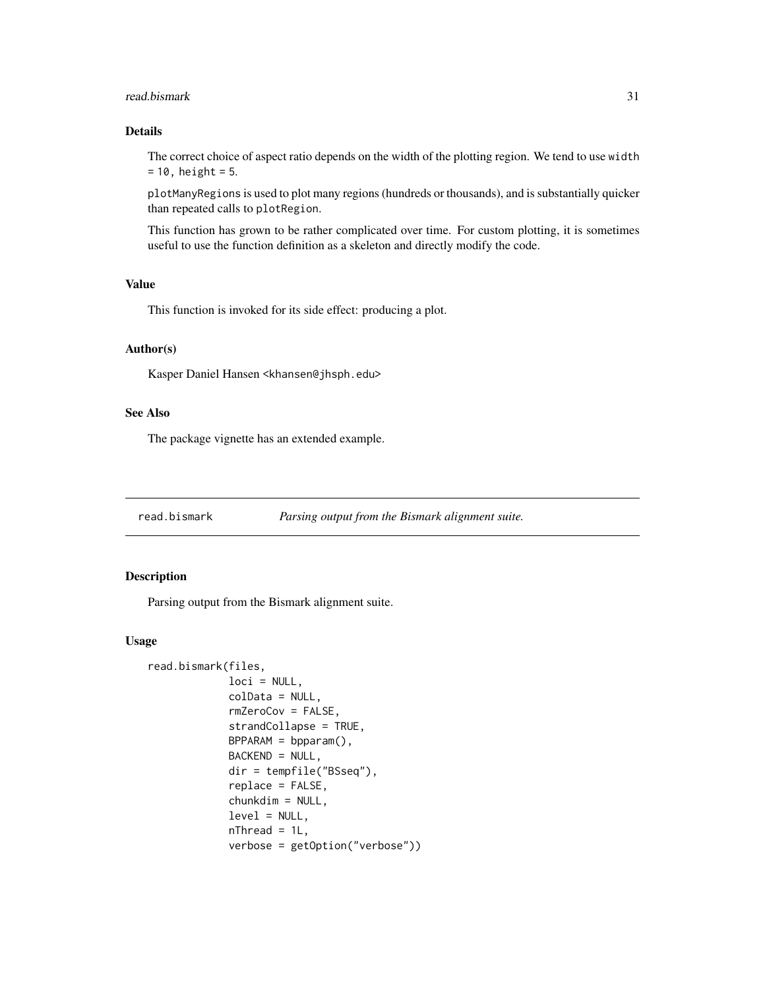#### <span id="page-30-0"></span>read.bismark 31

# Details

The correct choice of aspect ratio depends on the width of the plotting region. We tend to use width  $= 10$ , height = 5.

plotManyRegions is used to plot many regions (hundreds or thousands), and is substantially quicker than repeated calls to plotRegion.

This function has grown to be rather complicated over time. For custom plotting, it is sometimes useful to use the function definition as a skeleton and directly modify the code.

# Value

This function is invoked for its side effect: producing a plot.

#### Author(s)

Kasper Daniel Hansen <khansen@jhsph.edu>

# See Also

The package vignette has an extended example.

<span id="page-30-1"></span>

# Description

Parsing output from the Bismark alignment suite.

#### Usage

```
read.bismark(files,
             loci = NULL,
             colData = NULL,
             rmZeroCov = FALSE,
             strandCollapse = TRUE,
             BPPARAM = bpparam(),
             BACKEND = NULL,
             dir = tempfile("BSseq"),
             replace = FALSE,
             chunkdim = NULL,
             level = NULL,nThread = 1L,
             verbose = getOption("verbose"))
```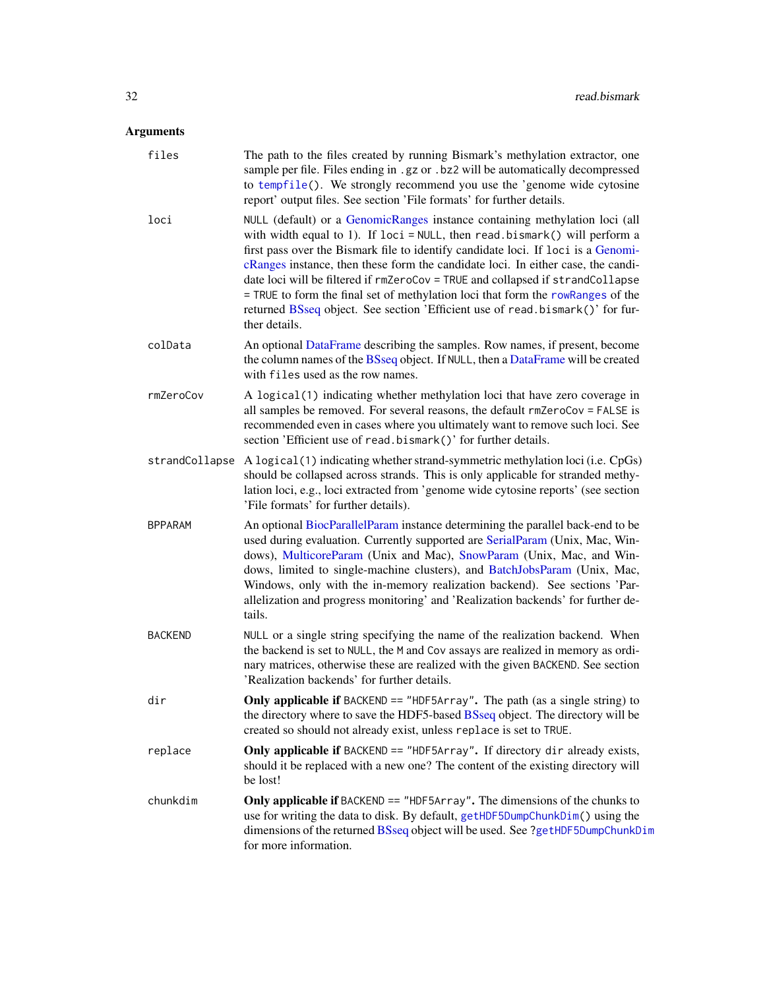# <span id="page-31-0"></span>Arguments

| files          | The path to the files created by running Bismark's methylation extractor, one<br>sample per file. Files ending in .gz or .bz2 will be automatically decompressed<br>to tempfile(). We strongly recommend you use the 'genome wide cytosine<br>report' output files. See section 'File formats' for further details.                                                                                                                                                                                                                                                                                          |
|----------------|--------------------------------------------------------------------------------------------------------------------------------------------------------------------------------------------------------------------------------------------------------------------------------------------------------------------------------------------------------------------------------------------------------------------------------------------------------------------------------------------------------------------------------------------------------------------------------------------------------------|
| loci           | NULL (default) or a GenomicRanges instance containing methylation loci (all<br>with width equal to 1). If $loci = NULL$ , then read.bismark() will perform a<br>first pass over the Bismark file to identify candidate loci. If loci is a Genomi-<br>cRanges instance, then these form the candidate loci. In either case, the candi-<br>date loci will be filtered if rmZeroCov = TRUE and collapsed if strandCollapse<br>= TRUE to form the final set of methylation loci that form the rowRanges of the<br>returned BSseq object. See section 'Efficient use of read.bismark()' for fur-<br>ther details. |
| colData        | An optional DataFrame describing the samples. Row names, if present, become<br>the column names of the BSseq object. If NULL, then a DataFrame will be created<br>with files used as the row names.                                                                                                                                                                                                                                                                                                                                                                                                          |
| rmZeroCov      | A logical(1) indicating whether methylation loci that have zero coverage in<br>all samples be removed. For several reasons, the default rmZeroCov = FALSE is<br>recommended even in cases where you ultimately want to remove such loci. See<br>section 'Efficient use of read.bismark()' for further details.                                                                                                                                                                                                                                                                                               |
| strandCollapse | A logical (1) indicating whether strand-symmetric methylation loci (i.e. CpGs)<br>should be collapsed across strands. This is only applicable for stranded methy-<br>lation loci, e.g., loci extracted from 'genome wide cytosine reports' (see section<br>'File formats' for further details).                                                                                                                                                                                                                                                                                                              |
| BPPARAM        | An optional BiocParallelParam instance determining the parallel back-end to be<br>used during evaluation. Currently supported are SerialParam (Unix, Mac, Win-<br>dows), MulticoreParam (Unix and Mac), SnowParam (Unix, Mac, and Win-<br>dows, limited to single-machine clusters), and BatchJobsParam (Unix, Mac,<br>Windows, only with the in-memory realization backend). See sections 'Par-<br>allelization and progress monitoring' and 'Realization backends' for further de-<br>tails.                                                                                                               |
| <b>BACKEND</b> | NULL or a single string specifying the name of the realization backend. When<br>the backend is set to NULL, the M and Cov assays are realized in memory as ordi-<br>nary matrices, otherwise these are realized with the given BACKEND. See section<br>'Realization backends' for further details.                                                                                                                                                                                                                                                                                                           |
| dir            | Only applicable if BACKEND == "HDF5Array". The path (as a single string) to<br>the directory where to save the HDF5-based BSseq object. The directory will be<br>created so should not already exist, unless replace is set to TRUE.                                                                                                                                                                                                                                                                                                                                                                         |
| replace        | Only applicable if BACKEND == "HDF5Array". If directory dir already exists,<br>should it be replaced with a new one? The content of the existing directory will<br>be lost!                                                                                                                                                                                                                                                                                                                                                                                                                                  |
| chunkdim       | Only applicable if BACKEND == "HDF5Array". The dimensions of the chunks to<br>use for writing the data to disk. By default, getHDF5DumpChunkDim() using the<br>dimensions of the returned BSseq object will be used. See ?getHDF5DumpChunkDim<br>for more information.                                                                                                                                                                                                                                                                                                                                       |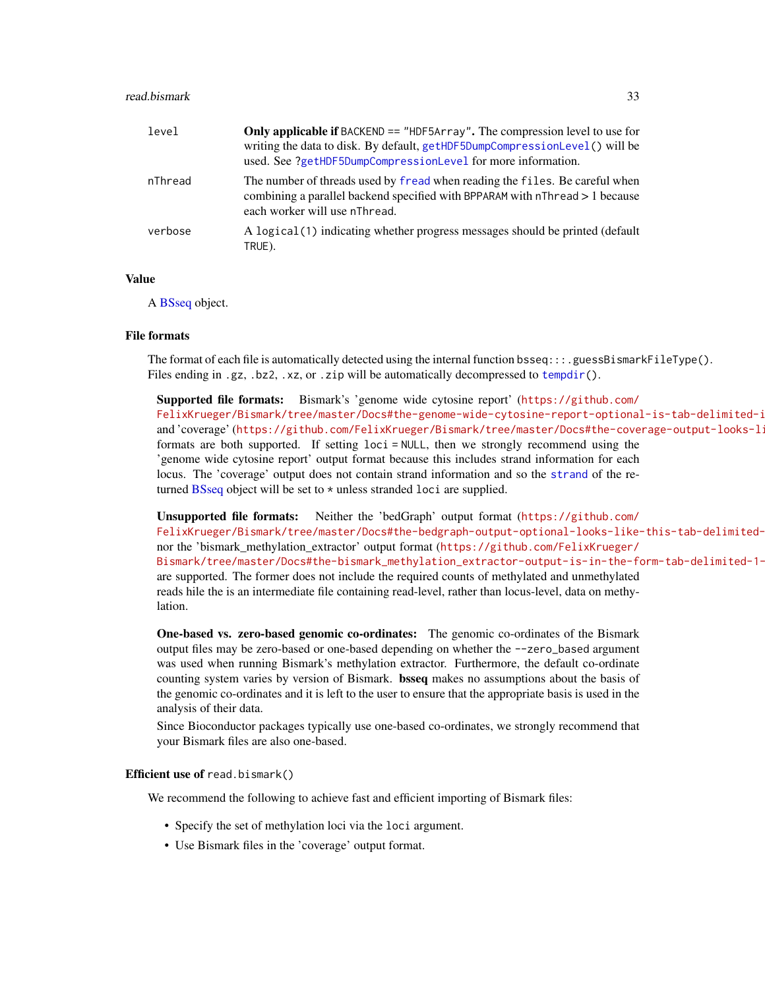#### <span id="page-32-0"></span>read.bismark 33

| level   | Only applicable if BACKEND == "HDF5Array". The compression level to use for<br>writing the data to disk. By default, getHDF5DumpCompressionLevel() will be<br>used. See ?getHDF5DumpCompressionLevel for more information. |
|---------|----------------------------------------------------------------------------------------------------------------------------------------------------------------------------------------------------------------------------|
| nThread | The number of threads used by fread when reading the files. Be careful when<br>combining a parallel backend specified with BPPARAM with nThread > 1 because<br>each worker will use nThread.                               |
| verbose | A logical (1) indicating whether progress messages should be printed (default<br>TRUE).                                                                                                                                    |

# Value

A [BSseq](#page-9-1) object.

#### File formats

The format of each file is automatically detected using the internal function  $b$ sseq:::.guessBismarkFileType(). Files ending in .gz, .bz2, .xz, or .zip will be automatically decompressed to [tempdir\(](#page-0-0)).

Supported file formats: Bismark's 'genome wide cytosine report' ([https://github.com/](https://github.com/FelixKrueger/Bismark/tree/master/Docs#the-genome-wide-cytosine-report-optional-is-tab-delimited-in-the-following-format-1-based-coords) FelixKrueger/Bismark/tree/master/Docs#the-genome-wide-cytosine-report-optional-is-tab-delimited-i and 'coverage' (https://github.com/FelixKrueger/Bismark/tree/master/Docs#the-coverage-output-looks-li formats are both supported. If setting loci = NULL, then we strongly recommend using the 'genome wide cytosine report' output format because this includes strand information for each locus. The 'coverage' output does not contain strand information and so the [strand](#page-0-0) of the returned [BSseq](#page-9-1) object will be set to \* unless stranded loci are supplied.

Unsupported file formats: Neither the 'bedGraph' output format ([https://github.com/](https://github.com/FelixKrueger/Bismark/tree/master/Docs#the-bedgraph-output-optional-looks-like-this-tab-delimited-0-based-start-1-based-end-coords) FelixKrueger/Bismark/tree/master/Docs#the-bedgraph-output-optional-looks-like-this-tab-delimitednor the 'bismark\_methylation\_extractor' output format ([https://github.com/FelixKrueger/](https://github.com/FelixKrueger/Bismark/tree/master/Docs#the-bismark_methylation_extractor-output-is-in-the-form-tab-delimited-1-based-coords) Bismark/tree/master/Docs#the-bismark\_methylation\_extractor-output-is-in-the-form-tab-delimited-1are supported. The former does not include the required counts of methylated and unmethylated reads hile the is an intermediate file containing read-level, rather than locus-level, data on methylation.

One-based vs. zero-based genomic co-ordinates: The genomic co-ordinates of the Bismark output files may be zero-based or one-based depending on whether the --zero\_based argument was used when running Bismark's methylation extractor. Furthermore, the default co-ordinate counting system varies by version of Bismark. bsseq makes no assumptions about the basis of the genomic co-ordinates and it is left to the user to ensure that the appropriate basis is used in the analysis of their data.

Since Bioconductor packages typically use one-based co-ordinates, we strongly recommend that your Bismark files are also one-based.

# Efficient use of read.bismark()

We recommend the following to achieve fast and efficient importing of Bismark files:

- Specify the set of methylation loci via the loci argument.
- Use Bismark files in the 'coverage' output format.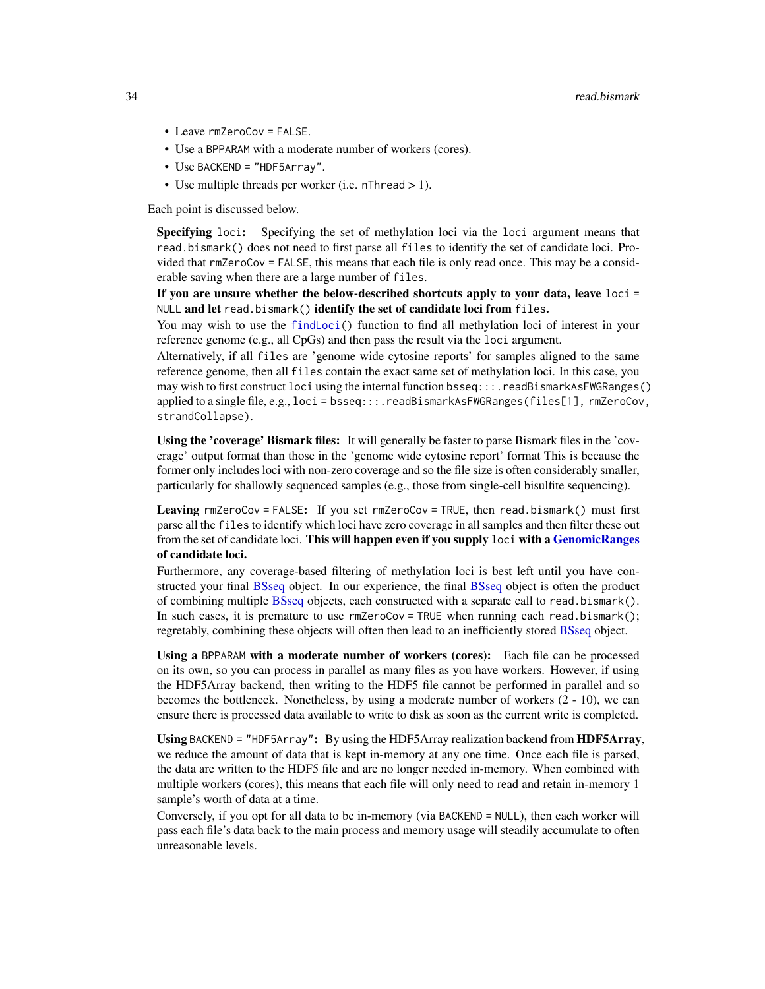- Leave rmZeroCov = FALSE.
- Use a BPPARAM with a moderate number of workers (cores).
- Use BACKEND = "HDF5Array".
- Use multiple threads per worker (i.e. nThread > 1).

Each point is discussed below.

Specifying loci: Specifying the set of methylation loci via the loci argument means that read.bismark() does not need to first parse all files to identify the set of candidate loci. Provided that rmZeroCov = FALSE, this means that each file is only read once. This may be a considerable saving when there are a large number of files.

If you are unsure whether the below-described shortcuts apply to your data, leave loci = NULL and let read.bismark() identify the set of candidate loci from files.

You may wish to use the [findLoci\(](#page-18-1)) function to find all methylation loci of interest in your reference genome (e.g., all CpGs) and then pass the result via the loci argument.

Alternatively, if all files are 'genome wide cytosine reports' for samples aligned to the same reference genome, then all files contain the exact same set of methylation loci. In this case, you may wish to first construct loci using the internal function bsseq:::.readBismarkAsFWGRanges() applied to a single file, e.g.,  $loci = b$ sseq:::.readBismarkAsFWGRanges(files[1], rmZeroCov, strandCollapse).

Using the 'coverage' Bismark files: It will generally be faster to parse Bismark files in the 'coverage' output format than those in the 'genome wide cytosine report' format This is because the former only includes loci with non-zero coverage and so the file size is often considerably smaller, particularly for shallowly sequenced samples (e.g., those from single-cell bisulfite sequencing).

Leaving rmZeroCov = FALSE: If you set rmZeroCov = TRUE, then read.bismark() must first parse all the files to identify which loci have zero coverage in all samples and then filter these out from the set of candidate loci. This will happen even if you supply loci with a [GenomicRanges](#page-0-0) of candidate loci.

Furthermore, any coverage-based filtering of methylation loci is best left until you have constructed your final [BSseq](#page-9-1) object. In our experience, the final [BSseq](#page-9-1) object is often the product of combining multiple [BSseq](#page-9-1) objects, each constructed with a separate call to read.bismark(). In such cases, it is premature to use  $rmZeroCov = TRUE$  when running each read.bismark(); regretably, combining these objects will often then lead to an inefficiently stored [BSseq](#page-9-1) object.

Using a BPPARAM with a moderate number of workers (cores): Each file can be processed on its own, so you can process in parallel as many files as you have workers. However, if using the HDF5Array backend, then writing to the HDF5 file cannot be performed in parallel and so becomes the bottleneck. Nonetheless, by using a moderate number of workers (2 - 10), we can ensure there is processed data available to write to disk as soon as the current write is completed.

Using BACKEND = "HDF5Array": By using the HDF5Array realization backend from HDF5Array, we reduce the amount of data that is kept in-memory at any one time. Once each file is parsed, the data are written to the HDF5 file and are no longer needed in-memory. When combined with multiple workers (cores), this means that each file will only need to read and retain in-memory 1 sample's worth of data at a time.

Conversely, if you opt for all data to be in-memory (via BACKEND = NULL), then each worker will pass each file's data back to the main process and memory usage will steadily accumulate to often unreasonable levels.

<span id="page-33-0"></span>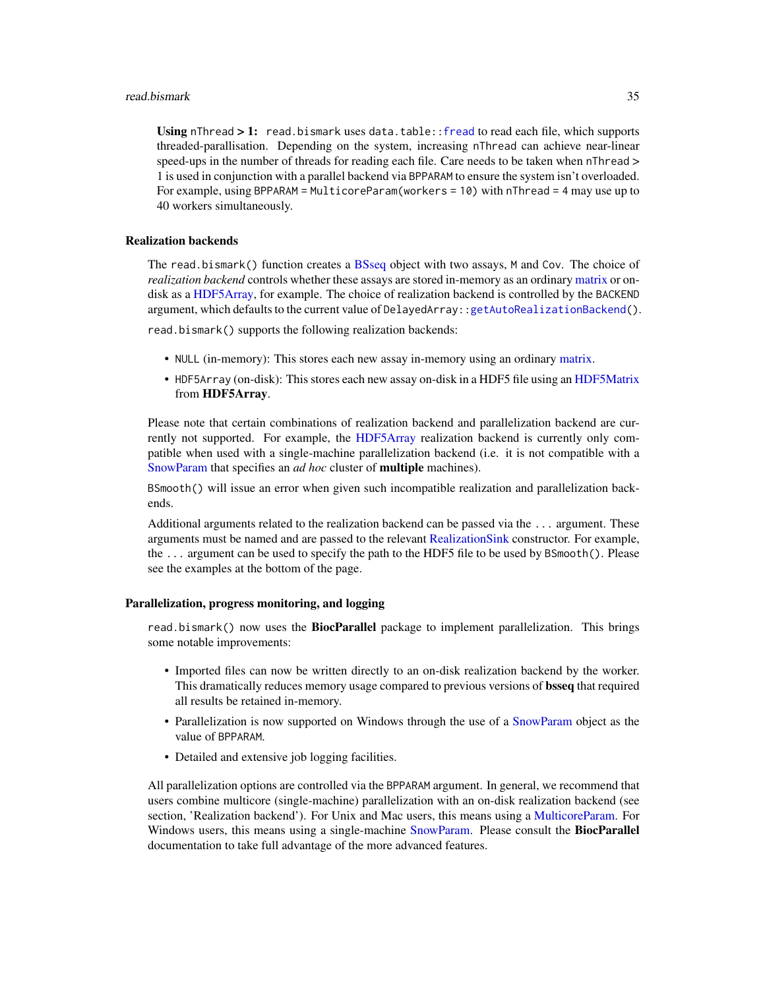#### <span id="page-34-0"></span>read.bismark 35

Using nThread > 1: read.bismark uses data.table:: fread to read each file, which supports threaded-parallisation. Depending on the system, increasing nThread can achieve near-linear speed-ups in the number of threads for reading each file. Care needs to be taken when nThread > 1 is used in conjunction with a parallel backend via BPPARAM to ensure the system isn't overloaded. For example, using BPPARAM = MulticoreParam(workers = 10) with nThread = 4 may use up to 40 workers simultaneously.

#### Realization backends

The read.bismark() function creates a [BSseq](#page-9-1) object with two assays, M and Cov. The choice of *realization backend* controls whether these assays are stored in-memory as an ordinary [matrix](#page-0-0) or ondisk as a [HDF5Array,](#page-0-0) for example. The choice of realization backend is controlled by the BACKEND argument, which defaults to the current value of DelayedArray:[:getAutoRealizationBackend\(](#page-0-0)).

read.bismark() supports the following realization backends:

- NULL (in-memory): This stores each new assay in-memory using an ordinary [matrix.](#page-0-0)
- HDF5Array (on-disk): This stores each new assay on-disk in a HDF5 file using an [HDF5Matrix](#page-0-0) from HDF5Array.

Please note that certain combinations of realization backend and parallelization backend are currently not supported. For example, the [HDF5Array](#page-0-0) realization backend is currently only compatible when used with a single-machine parallelization backend (i.e. it is not compatible with a [SnowParam](#page-0-0) that specifies an *ad hoc* cluster of multiple machines).

BSmooth() will issue an error when given such incompatible realization and parallelization backends.

Additional arguments related to the realization backend can be passed via the ... argument. These arguments must be named and are passed to the relevant [RealizationSink](#page-0-0) constructor. For example, the ... argument can be used to specify the path to the HDF5 file to be used by BSmooth(). Please see the examples at the bottom of the page.

# Parallelization, progress monitoring, and logging

read.bismark() now uses the **BiocParallel** package to implement parallelization. This brings some notable improvements:

- Imported files can now be written directly to an on-disk realization backend by the worker. This dramatically reduces memory usage compared to previous versions of bsseq that required all results be retained in-memory.
- Parallelization is now supported on Windows through the use of a [SnowParam](#page-0-0) object as the value of BPPARAM.
- Detailed and extensive job logging facilities.

All parallelization options are controlled via the BPPARAM argument. In general, we recommend that users combine multicore (single-machine) parallelization with an on-disk realization backend (see section, 'Realization backend'). For Unix and Mac users, this means using a [MulticoreParam.](#page-0-0) For Windows users, this means using a single-machine [SnowParam.](#page-0-0) Please consult the **BiocParallel** documentation to take full advantage of the more advanced features.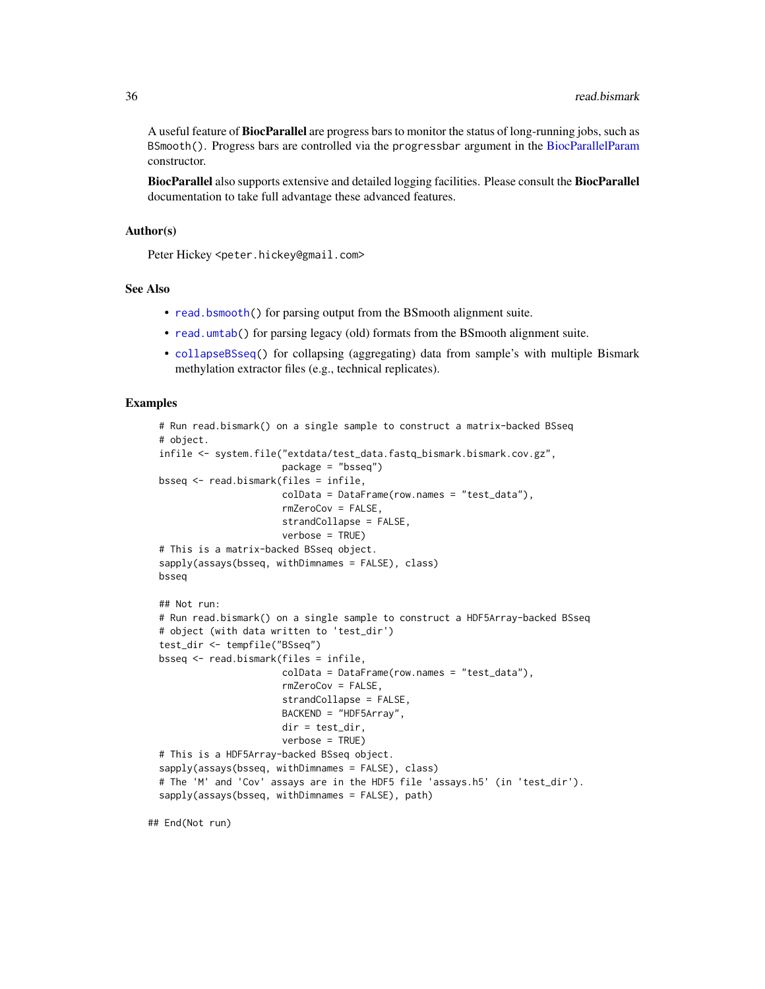<span id="page-35-0"></span>A useful feature of **BiocParallel** are progress bars to monitor the status of long-running jobs, such as BSmooth(). Progress bars are controlled via the progressbar argument in the [BiocParallelParam](#page-0-0) constructor.

**BiocParallel** also supports extensive and detailed logging facilities. Please consult the **BiocParallel** documentation to take full advantage these advanced features.

# Author(s)

Peter Hickey <peter.hickey@gmail.com>

#### See Also

- [read.bsmooth\(](#page-36-1)) for parsing output from the BSmooth alignment suite.
- [read.umtab\(](#page-37-1)) for parsing legacy (old) formats from the BSmooth alignment suite.
- [collapseBSseq\(](#page-9-2)) for collapsing (aggregating) data from sample's with multiple Bismark methylation extractor files (e.g., technical replicates).

#### Examples

```
# Run read.bismark() on a single sample to construct a matrix-backed BSseq
# object.
infile <- system.file("extdata/test_data.fastq_bismark.bismark.cov.gz",
                      package = "bsseq")
bsseq <- read.bismark(files = infile,
                      colData = DataFrame(row.names = "test_data"),
                      rmZeroCov = FALSE,
                      strandCollapse = FALSE,
                      verbose = TRUE)
# This is a matrix-backed BSseq object.
sapply(assays(bsseq, withDimnames = FALSE), class)
bsseq
## Not run:
# Run read.bismark() on a single sample to construct a HDF5Array-backed BSseq
# object (with data written to 'test_dir')
test_dir <- tempfile("BSseq")
bsseq <- read.bismark(files = infile,
                      colData = DataFrame(row.names = "test_data"),
                      rmZeroCov = FALSE,
                      strandCollapse = FALSE,
                      BACKEND = "HDF5Array",
                      dir = test_dir,
                      verbose = TRUE)
# This is a HDF5Array-backed BSseq object.
sapply(assays(bsseq, withDimnames = FALSE), class)
# The 'M' and 'Cov' assays are in the HDF5 file 'assays.h5' (in 'test_dir').
sapply(assays(bsseq, withDimnames = FALSE), path)
```
## End(Not run)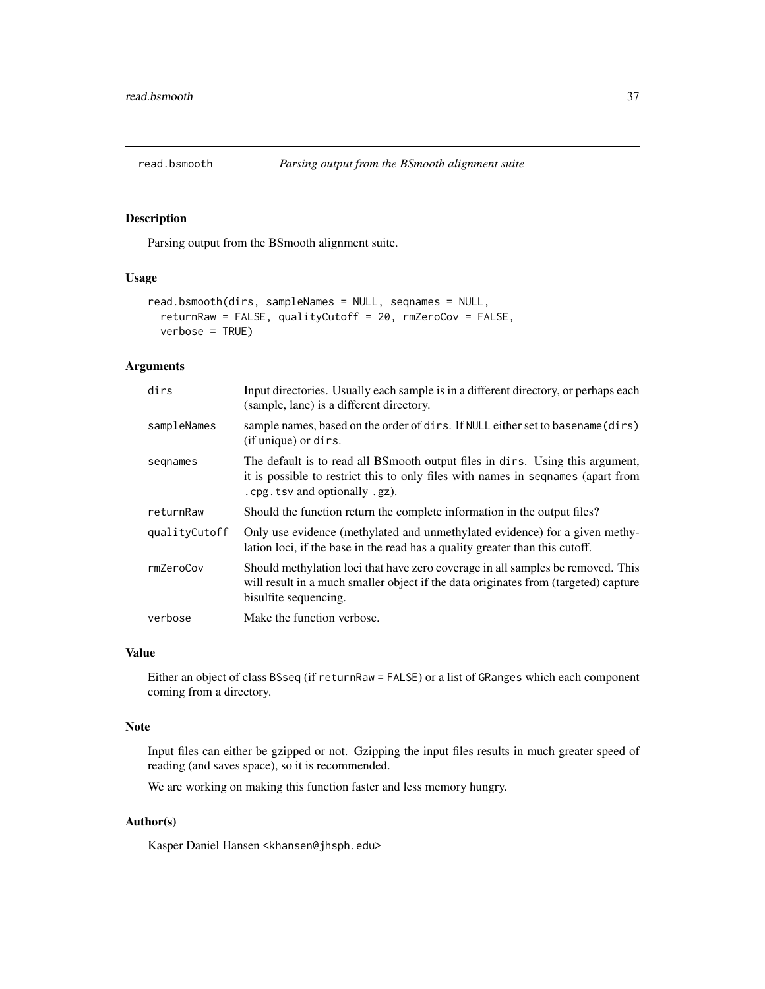<span id="page-36-1"></span><span id="page-36-0"></span>

# Description

Parsing output from the BSmooth alignment suite.

# Usage

```
read.bsmooth(dirs, sampleNames = NULL, seqnames = NULL,
  returnRaw = FALSE, qualityCutoff = 20, rmZeroCov = FALSE,
 verbose = TRUE)
```
# Arguments

| dirs          | Input directories. Usually each sample is in a different directory, or perhaps each<br>(sample, lane) is a different directory.                                                                      |
|---------------|------------------------------------------------------------------------------------------------------------------------------------------------------------------------------------------------------|
| sampleNames   | sample names, based on the order of dirs. If NULL either set to basename (dirs)<br>(if unique) or dirs.                                                                                              |
| segnames      | The default is to read all BS mooth output files in dirs. Using this argument,<br>it is possible to restrict this to only files with names in sequal sequent from<br>. cpg. tsv and optionally .gz). |
| returnRaw     | Should the function return the complete information in the output files?                                                                                                                             |
| qualityCutoff | Only use evidence (methylated and unmethylated evidence) for a given methy-<br>lation loci, if the base in the read has a quality greater than this cutoff.                                          |
| rmZeroCov     | Should methylation loci that have zero coverage in all samples be removed. This<br>will result in a much smaller object if the data originates from (targeted) capture<br>bisulfite sequencing.      |
| verbose       | Make the function verbose.                                                                                                                                                                           |

# Value

Either an object of class BSseq (if returnRaw = FALSE) or a list of GRanges which each component coming from a directory.

# Note

Input files can either be gzipped or not. Gzipping the input files results in much greater speed of reading (and saves space), so it is recommended.

We are working on making this function faster and less memory hungry.

# Author(s)

Kasper Daniel Hansen <khansen@jhsph.edu>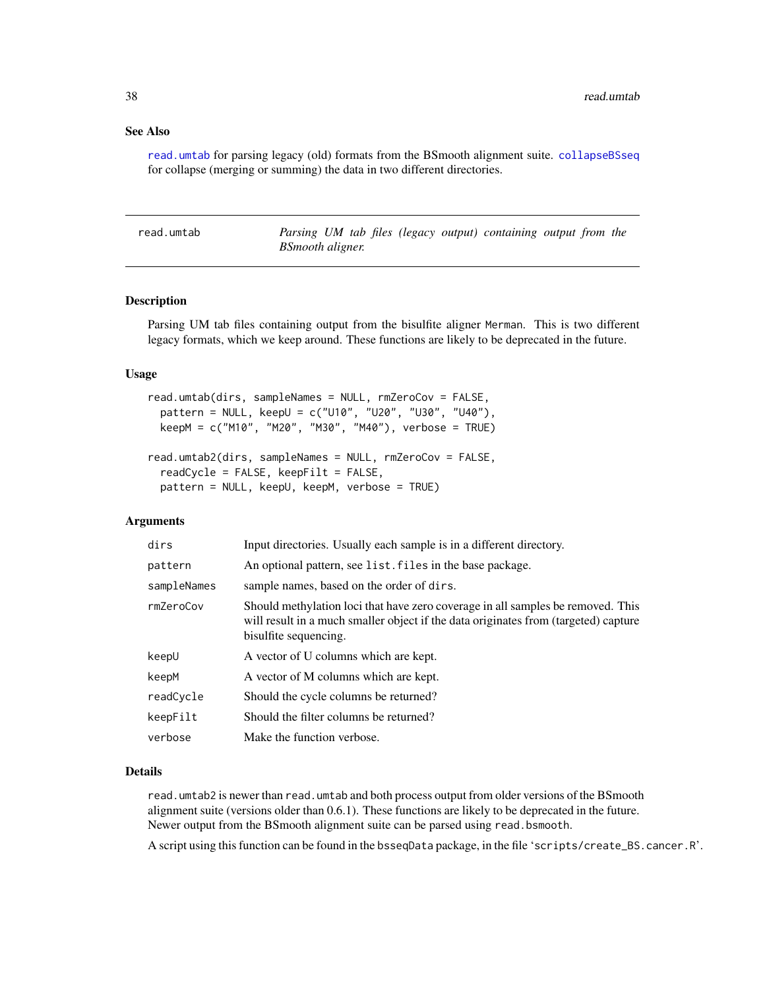# <span id="page-37-0"></span>See Also

[read.umtab](#page-37-1) for parsing legacy (old) formats from the BSmooth alignment suite. [collapseBSseq](#page-9-2) for collapse (merging or summing) the data in two different directories.

<span id="page-37-1"></span>read.umtab *Parsing UM tab files (legacy output) containing output from the BSmooth aligner.*

# **Description**

Parsing UM tab files containing output from the bisulfite aligner Merman. This is two different legacy formats, which we keep around. These functions are likely to be deprecated in the future.

#### Usage

```
read.umtab(dirs, sampleNames = NULL, rmZeroCov = FALSE,
 pattern = NULL, keepU = c("U10", "U20", "U30", "U40"),
 keepM = c("M10", "M20", "M30", "M40"), verbose = TRUE)
read.umtab2(dirs, sampleNames = NULL, rmZeroCov = FALSE,
  readCycle = FALSE, keepFilt = FALSE,
 pattern = NULL, keepU, keepM, verbose = TRUE)
```
# Arguments

| dirs        | Input directories. Usually each sample is in a different directory.                                                                                                                             |
|-------------|-------------------------------------------------------------------------------------------------------------------------------------------------------------------------------------------------|
| pattern     | An optional pattern, see list. files in the base package.                                                                                                                                       |
| sampleNames | sample names, based on the order of dirs.                                                                                                                                                       |
| rmZeroCov   | Should methylation loci that have zero coverage in all samples be removed. This<br>will result in a much smaller object if the data originates from (targeted) capture<br>bisulfite sequencing. |
| keep∪       | A vector of U columns which are kept.                                                                                                                                                           |
| keepM       | A vector of M columns which are kept.                                                                                                                                                           |
| readCvcle   | Should the cycle columns be returned?                                                                                                                                                           |
| keepFilt    | Should the filter columns be returned?                                                                                                                                                          |
| verbose     | Make the function verbose.                                                                                                                                                                      |

#### Details

read.umtab2 is newer than read.umtab and both process output from older versions of the BSmooth alignment suite (versions older than 0.6.1). These functions are likely to be deprecated in the future. Newer output from the BSmooth alignment suite can be parsed using read.bsmooth.

A script using this function can be found in the bsseqData package, in the file 'scripts/create\_BS.cancer.R'.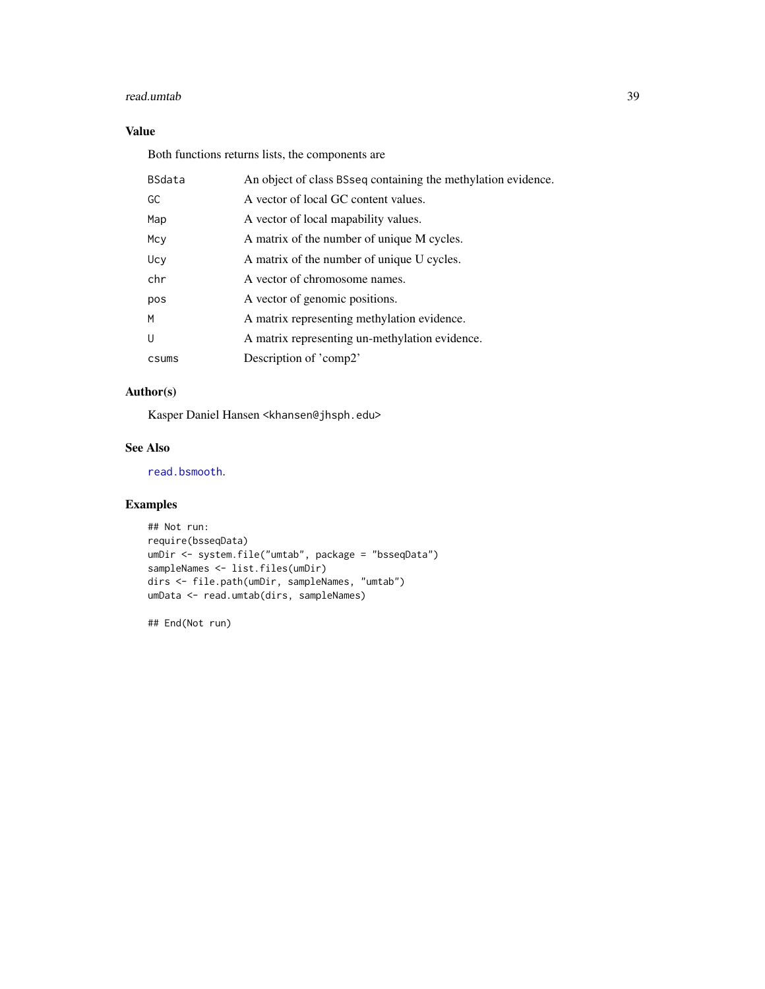#### <span id="page-38-0"></span>read.umtab 39

# Value

Both functions returns lists, the components are

| <b>BSdata</b> | An object of class BSseq containing the methylation evidence. |
|---------------|---------------------------------------------------------------|
| GC            | A vector of local GC content values.                          |
| Map           | A vector of local mapability values.                          |
| Mcy           | A matrix of the number of unique M cycles.                    |
| Ucy           | A matrix of the number of unique U cycles.                    |
| chr           | A vector of chromosome names.                                 |
| pos           | A vector of genomic positions.                                |
| M             | A matrix representing methylation evidence.                   |
| U             | A matrix representing un-methylation evidence.                |
| csums         | Description of 'comp2'                                        |

# Author(s)

Kasper Daniel Hansen <khansen@jhsph.edu>

# See Also

[read.bsmooth](#page-36-1).

# Examples

```
## Not run:
require(bsseqData)
umDir <- system.file("umtab", package = "bsseqData")
sampleNames <- list.files(umDir)
dirs <- file.path(umDir, sampleNames, "umtab")
umData <- read.umtab(dirs, sampleNames)
```
## End(Not run)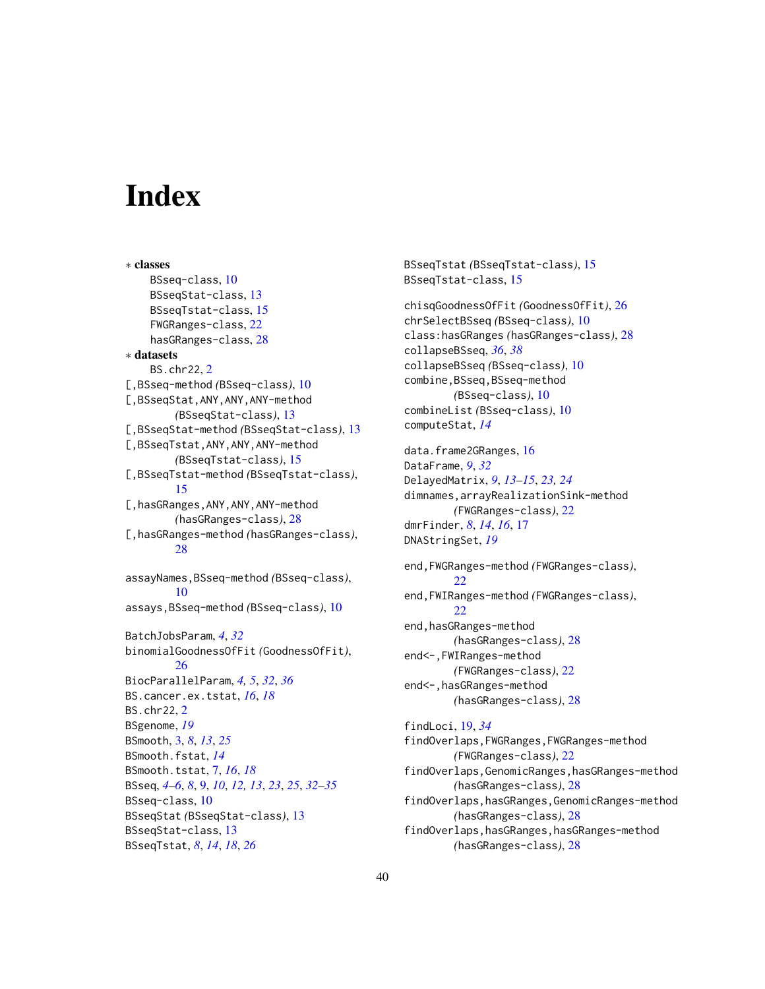# <span id="page-39-0"></span>**Index**

∗ classes BSseq-class, [10](#page-9-0) BSseqStat-class, [13](#page-12-0) BSseqTstat-class, [15](#page-14-0) FWGRanges-class, [22](#page-21-0) hasGRanges-class, [28](#page-27-0) ∗ datasets BS.chr22, [2](#page-1-0) [,BSseq-method *(*BSseq-class*)*, [10](#page-9-0) [,BSseqStat,ANY,ANY,ANY-method *(*BSseqStat-class*)*, [13](#page-12-0) [,BSseqStat-method *(*BSseqStat-class*)*, [13](#page-12-0) [,BSseqTstat,ANY,ANY,ANY-method *(*BSseqTstat-class*)*, [15](#page-14-0) [,BSseqTstat-method *(*BSseqTstat-class*)*, [15](#page-14-0) [,hasGRanges,ANY,ANY,ANY-method *(*hasGRanges-class*)*, [28](#page-27-0) [,hasGRanges-method *(*hasGRanges-class*)*, [28](#page-27-0) assayNames,BSseq-method *(*BSseq-class*)*, [10](#page-9-0) assays,BSseq-method *(*BSseq-class*)*, [10](#page-9-0) BatchJobsParam, *[4](#page-3-0)*, *[32](#page-31-0)* binomialGoodnessOfFit *(*GoodnessOfFit*)*, [26](#page-25-0) BiocParallelParam, *[4,](#page-3-0) [5](#page-4-0)*, *[32](#page-31-0)*, *[36](#page-35-0)* BS.cancer.ex.tstat, *[16](#page-15-0)*, *[18](#page-17-0)* BS.chr22, [2](#page-1-0) BSgenome, *[19](#page-18-0)* BSmooth, [3,](#page-2-0) *[8](#page-7-0)*, *[13](#page-12-0)*, *[25](#page-24-0)* BSmooth.fstat, *[14](#page-13-0)* BSmooth.tstat, [7,](#page-6-0) *[16](#page-15-0)*, *[18](#page-17-0)* BSseq, *[4](#page-3-0)[–6](#page-5-0)*, *[8](#page-7-0)*, [9,](#page-8-0) *[10](#page-9-0)*, *[12,](#page-11-0) [13](#page-12-0)*, *[23](#page-22-0)*, *[25](#page-24-0)*, *[32–](#page-31-0)[35](#page-34-0)* BSseq-class, [10](#page-9-0) BSseqStat *(*BSseqStat-class*)*, [13](#page-12-0) BSseqStat-class, [13](#page-12-0) BSseqTstat, *[8](#page-7-0)*, *[14](#page-13-0)*, *[18](#page-17-0)*, *[26](#page-25-0)*

```
BSseqTstat (BSseqTstat-class), 15
BSseqTstat-class, 15
chisqGoodnessOfFit (GoodnessOfFit), 26
chrSelectBSseq (BSseq-class), 10
class:hasGRanges (hasGRanges-class), 28
collapseBSseq, 36, 38
collapseBSseq (BSseq-class), 10
combine,BSseq,BSseq-method
        (BSseq-class), 10
combineList (BSseq-class), 10
computeStat, 14
data.frame2GRanges, 16
DataFrame, 9, 32
DelayedMatrix, 9, 13–15, 23, 24
dimnames,arrayRealizationSink-method
        (FWGRanges-class), 22
dmrFinder, 8, 14, 16, 17
DNAStringSet, 19
end,FWGRanges-method (FWGRanges-class),
        22
end,FWIRanges-method (FWGRanges-class),
        22
end, hasGRanges-method
        (hasGRanges-class), 28
end<-,FWIRanges-method
        (FWGRanges-class), 22
end<-, hasGRanges-method
        (hasGRanges-class), 28
findLoci, 19, 34
findOverlaps,FWGRanges,FWGRanges-method
        (FWGRanges-class), 22
findOverlaps,GenomicRanges,hasGRanges-method
        (hasGRanges-class), 28
```
findOverlaps,hasGRanges,GenomicRanges-method *(*hasGRanges-class*)*, [28](#page-27-0) findOverlaps,hasGRanges,hasGRanges-method

*(*hasGRanges-class*)*, [28](#page-27-0)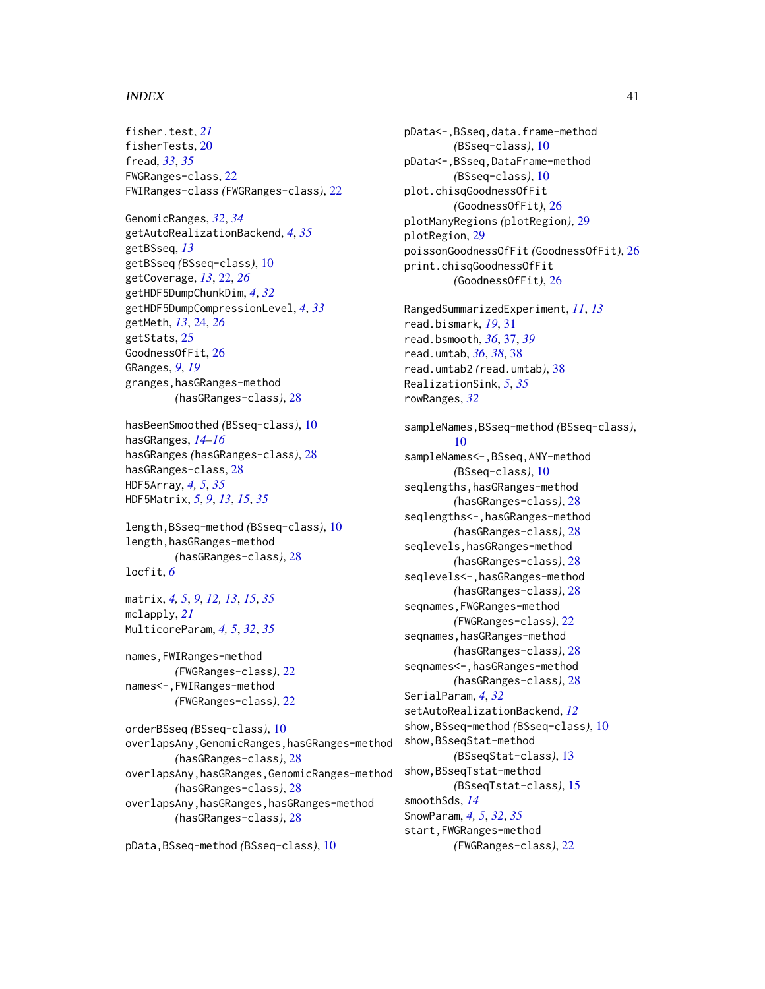# $I<sub>N</sub>$  and  $I<sub>1</sub>$  and  $I<sub>2</sub>$  and  $I<sub>3</sub>$  and  $I<sub>4</sub>$  and  $I<sub>4</sub>$  and  $I<sub>4</sub>$  and  $I<sub>4</sub>$  and  $I<sub>4</sub>$  and  $I<sub>4</sub>$  and  $I<sub>4</sub>$  and  $I<sub>4</sub>$  and  $I<sub>4</sub>$  and  $I<sub>4</sub>$  and  $I<sub>4</sub>$  a

fisher.test, *[21](#page-20-0)* fisherTests, [20](#page-19-0) fread, *[33](#page-32-0)*, *[35](#page-34-0)* FWGRanges-class, [22](#page-21-0) FWIRanges-class *(*FWGRanges-class*)*, [22](#page-21-0)

GenomicRanges, *[32](#page-31-0)*, *[34](#page-33-0)* getAutoRealizationBackend, *[4](#page-3-0)*, *[35](#page-34-0)* getBSseq, *[13](#page-12-0)* getBSseq *(*BSseq-class*)*, [10](#page-9-0) getCoverage, *[13](#page-12-0)*, [22,](#page-21-0) *[26](#page-25-0)* getHDF5DumpChunkDim, *[4](#page-3-0)*, *[32](#page-31-0)* getHDF5DumpCompressionLevel, *[4](#page-3-0)*, *[33](#page-32-0)* getMeth, *[13](#page-12-0)*, [24,](#page-23-0) *[26](#page-25-0)* getStats, [25](#page-24-0) GoodnessOfFit, [26](#page-25-0) GRanges, *[9](#page-8-0)*, *[19](#page-18-0)* granges,hasGRanges-method *(*hasGRanges-class*)*, [28](#page-27-0)

hasBeenSmoothed *(*BSseq-class*)*, [10](#page-9-0) hasGRanges, *[14](#page-13-0)[–16](#page-15-0)* hasGRanges *(*hasGRanges-class*)*, [28](#page-27-0) hasGRanges-class, [28](#page-27-0) HDF5Array, *[4,](#page-3-0) [5](#page-4-0)*, *[35](#page-34-0)* HDF5Matrix, *[5](#page-4-0)*, *[9](#page-8-0)*, *[13](#page-12-0)*, *[15](#page-14-0)*, *[35](#page-34-0)*

length,BSseq-method *(*BSseq-class*)*, [10](#page-9-0) length,hasGRanges-method *(*hasGRanges-class*)*, [28](#page-27-0) locfit, *[6](#page-5-0)*

matrix, *[4,](#page-3-0) [5](#page-4-0)*, *[9](#page-8-0)*, *[12,](#page-11-0) [13](#page-12-0)*, *[15](#page-14-0)*, *[35](#page-34-0)* mclapply, *[21](#page-20-0)* MulticoreParam, *[4,](#page-3-0) [5](#page-4-0)*, *[32](#page-31-0)*, *[35](#page-34-0)*

names,FWIRanges-method *(*FWGRanges-class*)*, [22](#page-21-0) names<-,FWIRanges-method *(*FWGRanges-class*)*, [22](#page-21-0)

orderBSseq *(*BSseq-class*)*, [10](#page-9-0) overlapsAny,GenomicRanges,hasGRanges-method *(*hasGRanges-class*)*, [28](#page-27-0) overlapsAny,hasGRanges,GenomicRanges-method *(*hasGRanges-class*)*, [28](#page-27-0) overlapsAny,hasGRanges,hasGRanges-method *(*hasGRanges-class*)*, [28](#page-27-0)

pData,BSseq-method *(*BSseq-class*)*, [10](#page-9-0)

pData<-,BSseq,data.frame-method *(*BSseq-class*)*, [10](#page-9-0) pData<-,BSseq,DataFrame-method *(*BSseq-class*)*, [10](#page-9-0) plot.chisqGoodnessOfFit *(*GoodnessOfFit*)*, [26](#page-25-0) plotManyRegions *(*plotRegion*)*, [29](#page-28-0) plotRegion, [29](#page-28-0) poissonGoodnessOfFit *(*GoodnessOfFit*)*, [26](#page-25-0) print.chisqGoodnessOfFit *(*GoodnessOfFit*)*, [26](#page-25-0)

RangedSummarizedExperiment, *[11](#page-10-0)*, *[13](#page-12-0)* read.bismark, *[19](#page-18-0)*, [31](#page-30-0) read.bsmooth, *[36](#page-35-0)*, [37,](#page-36-0) *[39](#page-38-0)* read.umtab, *[36](#page-35-0)*, *[38](#page-37-0)*, [38](#page-37-0) read.umtab2 *(*read.umtab*)*, [38](#page-37-0) RealizationSink, *[5](#page-4-0)*, *[35](#page-34-0)* rowRanges, *[32](#page-31-0)*

sampleNames,BSseq-method *(*BSseq-class*)*, [10](#page-9-0) sampleNames<-, BSseq, ANY-method *(*BSseq-class*)*, [10](#page-9-0) seqlengths, hasGRanges-method *(*hasGRanges-class*)*, [28](#page-27-0) seqlengths<-,hasGRanges-method *(*hasGRanges-class*)*, [28](#page-27-0) seqlevels,hasGRanges-method *(*hasGRanges-class*)*, [28](#page-27-0) seqlevels<-, hasGRanges-method *(*hasGRanges-class*)*, [28](#page-27-0) seqnames,FWGRanges-method *(*FWGRanges-class*)*, [22](#page-21-0) seqnames, hasGRanges-method *(*hasGRanges-class*)*, [28](#page-27-0) seqnames<-, hasGRanges-method *(*hasGRanges-class*)*, [28](#page-27-0) SerialParam, *[4](#page-3-0)*, *[32](#page-31-0)* setAutoRealizationBackend, *[12](#page-11-0)* show,BSseq-method *(*BSseq-class*)*, [10](#page-9-0) show,BSseqStat-method *(*BSseqStat-class*)*, [13](#page-12-0) show,BSseqTstat-method *(*BSseqTstat-class*)*, [15](#page-14-0) smoothSds, *[14](#page-13-0)* SnowParam, *[4,](#page-3-0) [5](#page-4-0)*, *[32](#page-31-0)*, *[35](#page-34-0)* start,FWGRanges-method *(*FWGRanges-class*)*, [22](#page-21-0)